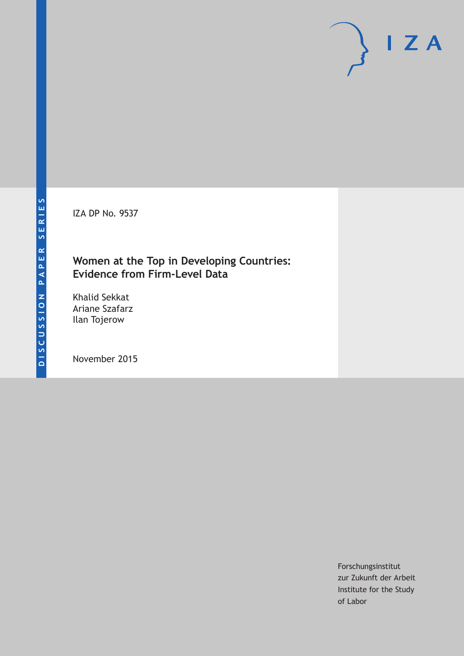IZA DP No. 9537

# **Women at the Top in Developing Countries: Evidence from Firm-Level Data**

Khalid Sekkat Ariane Szafarz Ilan Tojerow

November 2015

Forschungsinstitut zur Zukunft der Arbeit Institute for the Study of Labor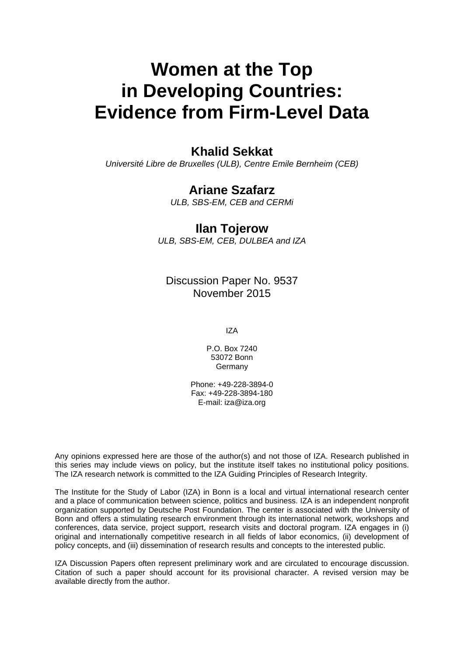# **Women at the Top in Developing Countries: Evidence from Firm-Level Data**

# **Khalid Sekkat**

*Université Libre de Bruxelles (ULB), Centre Emile Bernheim (CEB)* 

### **Ariane Szafarz**

*ULB, SBS-EM, CEB and CERMi* 

### **Ilan Tojerow**

*ULB, SBS-EM, CEB, DULBEA and IZA*

# Discussion Paper No. 9537 November 2015

IZA

P.O. Box 7240 53072 Bonn Germany

Phone: +49-228-3894-0 Fax: +49-228-3894-180 E-mail: iza@iza.org

Any opinions expressed here are those of the author(s) and not those of IZA. Research published in this series may include views on policy, but the institute itself takes no institutional policy positions. The IZA research network is committed to the IZA Guiding Principles of Research Integrity.

The Institute for the Study of Labor (IZA) in Bonn is a local and virtual international research center and a place of communication between science, politics and business. IZA is an independent nonprofit organization supported by Deutsche Post Foundation. The center is associated with the University of Bonn and offers a stimulating research environment through its international network, workshops and conferences, data service, project support, research visits and doctoral program. IZA engages in (i) original and internationally competitive research in all fields of labor economics, (ii) development of policy concepts, and (iii) dissemination of research results and concepts to the interested public.

IZA Discussion Papers often represent preliminary work and are circulated to encourage discussion. Citation of such a paper should account for its provisional character. A revised version may be available directly from the author.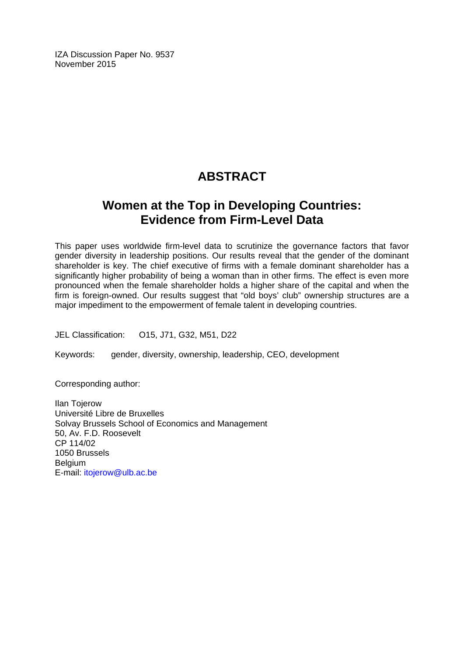IZA Discussion Paper No. 9537 November 2015

# **ABSTRACT**

# **Women at the Top in Developing Countries: Evidence from Firm-Level Data**

This paper uses worldwide firm-level data to scrutinize the governance factors that favor gender diversity in leadership positions. Our results reveal that the gender of the dominant shareholder is key. The chief executive of firms with a female dominant shareholder has a significantly higher probability of being a woman than in other firms. The effect is even more pronounced when the female shareholder holds a higher share of the capital and when the firm is foreign-owned. Our results suggest that "old boys' club" ownership structures are a major impediment to the empowerment of female talent in developing countries.

JEL Classification: O15, J71, G32, M51, D22

Keywords: gender, diversity, ownership, leadership, CEO, development

Corresponding author:

Ilan Tojerow Université Libre de Bruxelles Solvay Brussels School of Economics and Management 50, Av. F.D. Roosevelt CP 114/02 1050 Brussels **Belgium** E-mail: itojerow@ulb.ac.be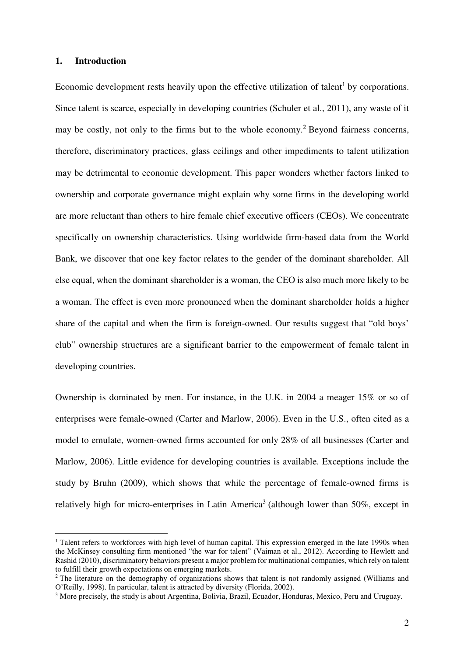#### **1. Introduction**

 $\overline{a}$ 

Economic development rests heavily upon the effective utilization of talent<sup>1</sup> by corporations. Since talent is scarce, especially in developing countries (Schuler et al., 2011), any waste of it may be costly, not only to the firms but to the whole economy.<sup>2</sup> Beyond fairness concerns, therefore, discriminatory practices, glass ceilings and other impediments to talent utilization may be detrimental to economic development. This paper wonders whether factors linked to ownership and corporate governance might explain why some firms in the developing world are more reluctant than others to hire female chief executive officers (CEOs). We concentrate specifically on ownership characteristics. Using worldwide firm-based data from the World Bank, we discover that one key factor relates to the gender of the dominant shareholder. All else equal, when the dominant shareholder is a woman, the CEO is also much more likely to be a woman. The effect is even more pronounced when the dominant shareholder holds a higher share of the capital and when the firm is foreign-owned. Our results suggest that "old boys' club" ownership structures are a significant barrier to the empowerment of female talent in developing countries.

Ownership is dominated by men. For instance, in the U.K. in 2004 a meager 15% or so of enterprises were female-owned (Carter and Marlow, 2006). Even in the U.S., often cited as a model to emulate, women-owned firms accounted for only 28% of all businesses (Carter and Marlow, 2006). Little evidence for developing countries is available. Exceptions include the study by Bruhn (2009), which shows that while the percentage of female-owned firms is relatively high for micro-enterprises in Latin America<sup>3</sup> (although lower than 50%, except in

<sup>&</sup>lt;sup>1</sup> Talent refers to workforces with high level of human capital. This expression emerged in the late 1990s when the McKinsey consulting firm mentioned "the war for talent" (Vaiman et al., 2012). According to Hewlett and Rashid (2010), discriminatory behaviors present a major problem for multinational companies, which rely on talent to fulfill their growth expectations on emerging markets.

<sup>&</sup>lt;sup>2</sup> The literature on the demography of organizations shows that talent is not randomly assigned (Williams and O'Reilly, 1998). In particular, talent is attracted by diversity (Florida, 2002).

<sup>&</sup>lt;sup>3</sup> More precisely, the study is about Argentina, Bolivia, Brazil, Ecuador, Honduras, Mexico, Peru and Uruguay.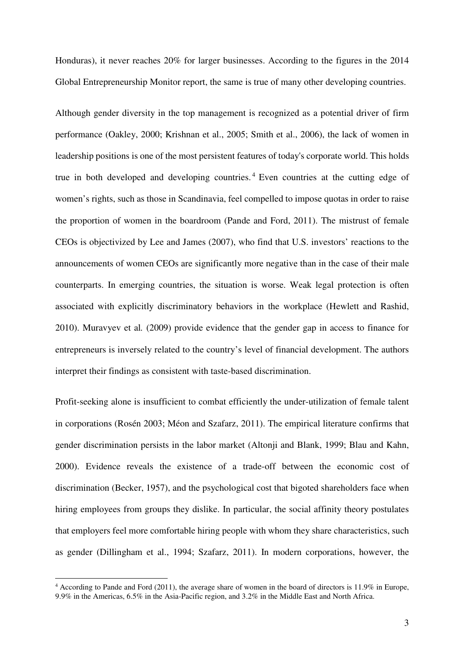Honduras), it never reaches 20% for larger businesses. According to the figures in the 2014 Global Entrepreneurship Monitor report, the same is true of many other developing countries.

Although gender diversity in the top management is recognized as a potential driver of firm performance (Oakley, 2000; Krishnan et al., 2005; Smith et al., 2006), the lack of women in leadership positions is one of the most persistent features of today's corporate world. This holds true in both developed and developing countries. <sup>4</sup> Even countries at the cutting edge of women's rights, such as those in Scandinavia, feel compelled to impose quotas in order to raise the proportion of women in the boardroom (Pande and Ford, 2011). The mistrust of female CEOs is objectivized by Lee and James (2007), who find that U.S. investors' reactions to the announcements of women CEOs are significantly more negative than in the case of their male counterparts. In emerging countries, the situation is worse. Weak legal protection is often associated with explicitly discriminatory behaviors in the workplace (Hewlett and Rashid, 2010). Muravyev et al*.* (2009) provide evidence that the gender gap in access to finance for entrepreneurs is inversely related to the country's level of financial development. The authors interpret their findings as consistent with taste-based discrimination.

Profit-seeking alone is insufficient to combat efficiently the under-utilization of female talent in corporations (Rosén 2003; Méon and Szafarz, 2011). The empirical literature confirms that gender discrimination persists in the labor market (Altonji and Blank, 1999; Blau and Kahn, 2000). Evidence reveals the existence of a trade-off between the economic cost of discrimination (Becker, 1957), and the psychological cost that bigoted shareholders face when hiring employees from groups they dislike. In particular, the social affinity theory postulates that employers feel more comfortable hiring people with whom they share characteristics, such as gender (Dillingham et al., 1994; Szafarz, 2011). In modern corporations, however, the

<sup>4</sup> According to Pande and Ford (2011), the average share of women in the board of directors is 11.9% in Europe, 9.9% in the Americas, 6.5% in the Asia-Pacific region, and 3.2% in the Middle East and North Africa.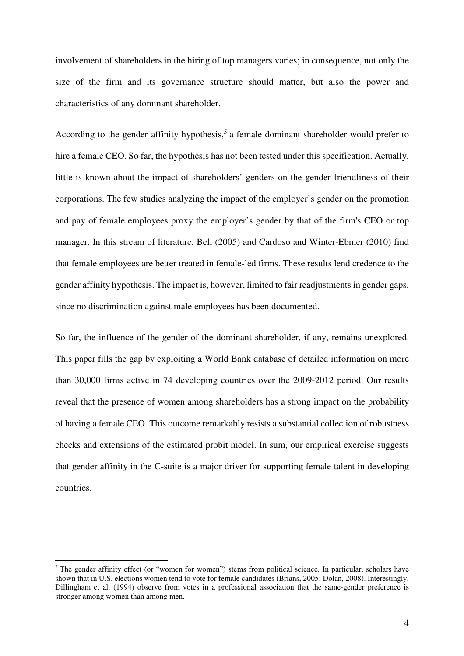involvement of shareholders in the hiring of top managers varies; in consequence, not only the size of the firm and its governance structure should matter, but also the power and characteristics of any dominant shareholder.

According to the gender affinity hypothesis,<sup>5</sup> a female dominant shareholder would prefer to hire a female CEO. So far, the hypothesis has not been tested under this specification. Actually, little is known about the impact of shareholders' genders on the gender-friendliness of their corporations. The few studies analyzing the impact of the employer's gender on the promotion and pay of female employees proxy the employer's gender by that of the firm's CEO or top manager. In this stream of literature, Bell (2005) and Cardoso and Winter-Ebmer (2010) find that female employees are better treated in female-led firms. These results lend credence to the gender affinity hypothesis. The impact is, however, limited to fair readjustments in gender gaps, since no discrimination against male employees has been documented.

So far, the influence of the gender of the dominant shareholder, if any, remains unexplored. This paper fills the gap by exploiting a World Bank database of detailed information on more than 30,000 firms active in 74 developing countries over the 2009-2012 period. Our results reveal that the presence of women among shareholders has a strong impact on the probability of having a female CEO. This outcome remarkably resists a substantial collection of robustness checks and extensions of the estimated probit model. In sum, our empirical exercise suggests that gender affinity in the C-suite is a major driver for supporting female talent in developing countries.

<sup>&</sup>lt;sup>5</sup>The gender affinity effect (or "women for women") stems from political science. In particular, scholars have shown that in U.S. elections women tend to vote for female candidates (Brians, 2005; Dolan, 2008). Interestingly, Dillingham et al. (1994) observe from votes in a professional association that the same-gender preference is stronger among women than among men.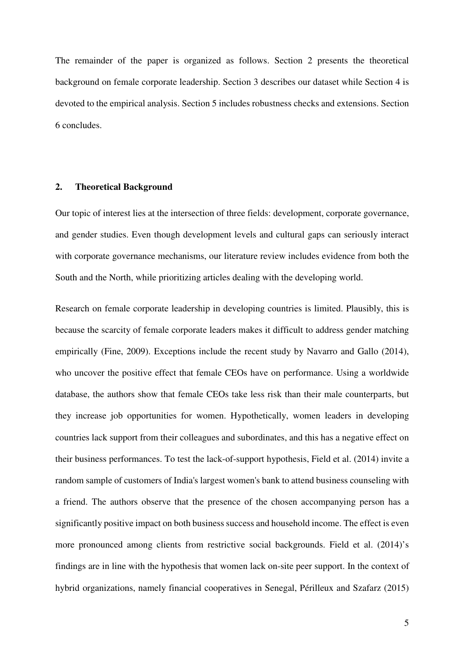The remainder of the paper is organized as follows. Section 2 presents the theoretical background on female corporate leadership. Section 3 describes our dataset while Section 4 is devoted to the empirical analysis. Section 5 includes robustness checks and extensions. Section 6 concludes.

#### **2. Theoretical Background**

Our topic of interest lies at the intersection of three fields: development, corporate governance, and gender studies. Even though development levels and cultural gaps can seriously interact with corporate governance mechanisms, our literature review includes evidence from both the South and the North, while prioritizing articles dealing with the developing world.

Research on female corporate leadership in developing countries is limited. Plausibly, this is because the scarcity of female corporate leaders makes it difficult to address gender matching empirically (Fine, 2009). Exceptions include the recent study by Navarro and Gallo (2014), who uncover the positive effect that female CEOs have on performance. Using a worldwide database, the authors show that female CEOs take less risk than their male counterparts, but they increase job opportunities for women. Hypothetically, women leaders in developing countries lack support from their colleagues and subordinates, and this has a negative effect on their business performances. To test the lack-of-support hypothesis, Field et al. (2014) invite a random sample of customers of India's largest women's bank to attend business counseling with a friend. The authors observe that the presence of the chosen accompanying person has a significantly positive impact on both business success and household income. The effect is even more pronounced among clients from restrictive social backgrounds. Field et al. (2014)'s findings are in line with the hypothesis that women lack on-site peer support. In the context of hybrid organizations, namely financial cooperatives in Senegal, Périlleux and Szafarz (2015)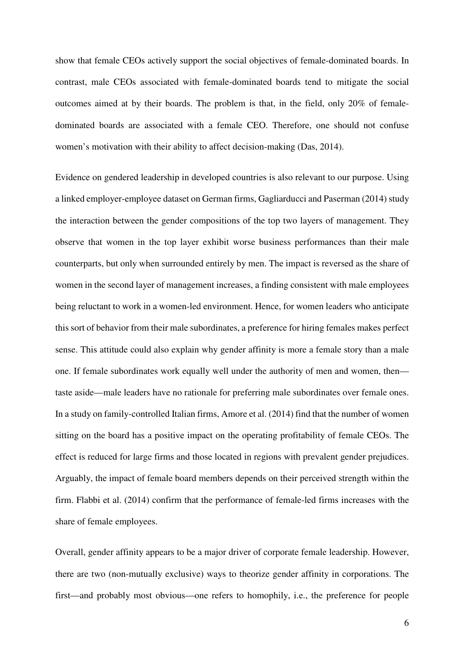show that female CEOs actively support the social objectives of female-dominated boards. In contrast, male CEOs associated with female-dominated boards tend to mitigate the social outcomes aimed at by their boards. The problem is that, in the field, only 20% of femaledominated boards are associated with a female CEO. Therefore, one should not confuse women's motivation with their ability to affect decision-making (Das, 2014).

Evidence on gendered leadership in developed countries is also relevant to our purpose. Using a linked employer-employee dataset on German firms, Gagliarducci and Paserman (2014) study the interaction between the gender compositions of the top two layers of management. They observe that women in the top layer exhibit worse business performances than their male counterparts, but only when surrounded entirely by men. The impact is reversed as the share of women in the second layer of management increases, a finding consistent with male employees being reluctant to work in a women-led environment. Hence, for women leaders who anticipate this sort of behavior from their male subordinates, a preference for hiring females makes perfect sense. This attitude could also explain why gender affinity is more a female story than a male one. If female subordinates work equally well under the authority of men and women, then taste aside—male leaders have no rationale for preferring male subordinates over female ones. In a study on family-controlled Italian firms, Amore et al. (2014) find that the number of women sitting on the board has a positive impact on the operating profitability of female CEOs. The effect is reduced for large firms and those located in regions with prevalent gender prejudices. Arguably, the impact of female board members depends on their perceived strength within the firm. Flabbi et al. (2014) confirm that the performance of female-led firms increases with the share of female employees.

Overall, gender affinity appears to be a major driver of corporate female leadership. However, there are two (non-mutually exclusive) ways to theorize gender affinity in corporations. The first—and probably most obvious—one refers to homophily, i.e., the preference for people

6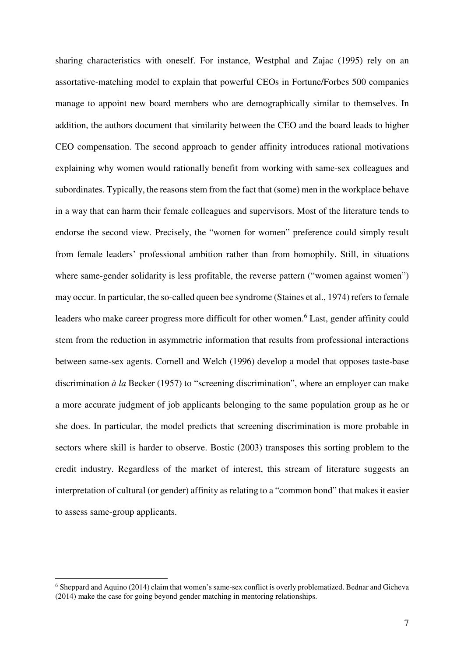sharing characteristics with oneself. For instance, Westphal and Zajac (1995) rely on an assortative-matching model to explain that powerful CEOs in Fortune/Forbes 500 companies manage to appoint new board members who are demographically similar to themselves. In addition, the authors document that similarity between the CEO and the board leads to higher CEO compensation. The second approach to gender affinity introduces rational motivations explaining why women would rationally benefit from working with same-sex colleagues and subordinates. Typically, the reasons stem from the fact that (some) men in the workplace behave in a way that can harm their female colleagues and supervisors. Most of the literature tends to endorse the second view. Precisely, the "women for women" preference could simply result from female leaders' professional ambition rather than from homophily. Still, in situations where same-gender solidarity is less profitable, the reverse pattern ("women against women") may occur. In particular, the so-called queen bee syndrome (Staines et al., 1974) refers to female leaders who make career progress more difficult for other women.<sup>6</sup> Last, gender affinity could stem from the reduction in asymmetric information that results from professional interactions between same-sex agents. Cornell and Welch (1996) develop a model that opposes taste-base discrimination *à la* Becker (1957) to "screening discrimination", where an employer can make a more accurate judgment of job applicants belonging to the same population group as he or she does. In particular, the model predicts that screening discrimination is more probable in sectors where skill is harder to observe. Bostic (2003) transposes this sorting problem to the credit industry. Regardless of the market of interest, this stream of literature suggests an interpretation of cultural (or gender) affinity as relating to a "common bond" that makes it easier to assess same-group applicants.

<sup>&</sup>lt;sup>6</sup> Sheppard and Aquino (2014) claim that women's same-sex conflict is overly problematized. Bednar and Gicheva (2014) make the case for going beyond gender matching in mentoring relationships.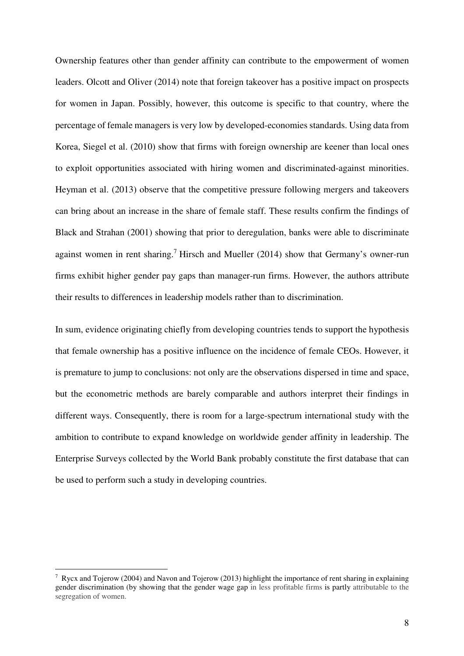Ownership features other than gender affinity can contribute to the empowerment of women leaders. Olcott and Oliver (2014) note that foreign takeover has a positive impact on prospects for women in Japan. Possibly, however, this outcome is specific to that country, where the percentage of female managers is very low by developed-economies standards. Using data from Korea, Siegel et al. (2010) show that firms with foreign ownership are keener than local ones to exploit opportunities associated with hiring women and discriminated-against minorities. Heyman et al. (2013) observe that the competitive pressure following mergers and takeovers can bring about an increase in the share of female staff. These results confirm the findings of Black and Strahan (2001) showing that prior to deregulation, banks were able to discriminate against women in rent sharing.<sup>7</sup> Hirsch and Mueller (2014) show that Germany's owner-run firms exhibit higher gender pay gaps than manager-run firms. However, the authors attribute their results to differences in leadership models rather than to discrimination.

In sum, evidence originating chiefly from developing countries tends to support the hypothesis that female ownership has a positive influence on the incidence of female CEOs. However, it is premature to jump to conclusions: not only are the observations dispersed in time and space, but the econometric methods are barely comparable and authors interpret their findings in different ways. Consequently, there is room for a large-spectrum international study with the ambition to contribute to expand knowledge on worldwide gender affinity in leadership. The Enterprise Surveys collected by the World Bank probably constitute the first database that can be used to perform such a study in developing countries.

<sup>&</sup>lt;sup>7</sup> Rycx and Tojerow (2004) and Navon and Tojerow (2013) highlight the importance of rent sharing in explaining gender discrimination (by showing that the gender wage gap in less profitable firms is partly attributable to the segregation of women.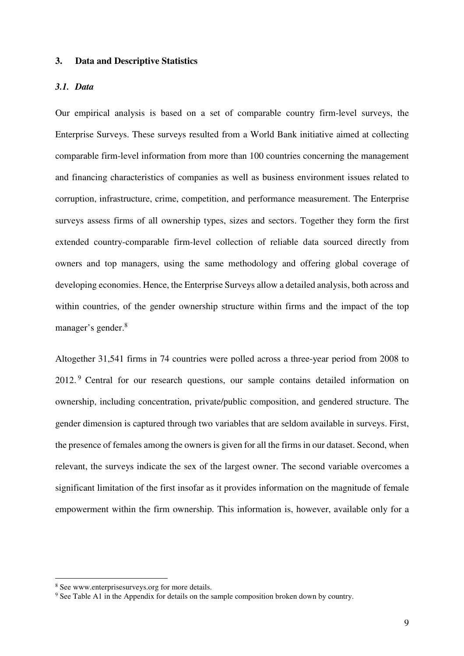#### **3. Data and Descriptive Statistics**

#### *3.1. Data*

Our empirical analysis is based on a set of comparable country firm-level surveys, the Enterprise Surveys. These surveys resulted from a World Bank initiative aimed at collecting comparable firm-level information from more than 100 countries concerning the management and financing characteristics of companies as well as business environment issues related to corruption, infrastructure, crime, competition, and performance measurement. The Enterprise surveys assess firms of all ownership types, sizes and sectors. Together they form the first extended country-comparable firm-level collection of reliable data sourced directly from owners and top managers, using the same methodology and offering global coverage of developing economies. Hence, the Enterprise Surveys allow a detailed analysis, both across and within countries, of the gender ownership structure within firms and the impact of the top manager's gender.<sup>8</sup>

Altogether 31,541 firms in 74 countries were polled across a three-year period from 2008 to 2012.<sup>9</sup> Central for our research questions, our sample contains detailed information on ownership, including concentration, private/public composition, and gendered structure. The gender dimension is captured through two variables that are seldom available in surveys. First, the presence of females among the owners is given for all the firms in our dataset. Second, when relevant, the surveys indicate the sex of the largest owner. The second variable overcomes a significant limitation of the first insofar as it provides information on the magnitude of female empowerment within the firm ownership. This information is, however, available only for a

<sup>8</sup> See www.enterprisesurveys.org for more details.

<sup>&</sup>lt;sup>9</sup> See Table A1 in the Appendix for details on the sample composition broken down by country.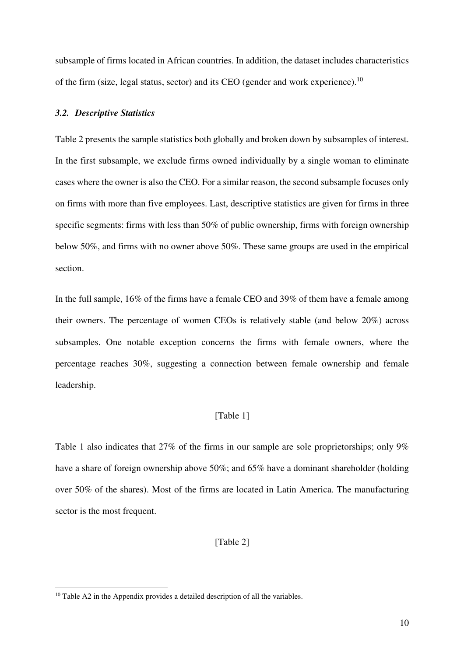subsample of firms located in African countries. In addition, the dataset includes characteristics of the firm (size, legal status, sector) and its CEO (gender and work experience).<sup>10</sup>

#### *3.2. Descriptive Statistics*

Table 2 presents the sample statistics both globally and broken down by subsamples of interest. In the first subsample, we exclude firms owned individually by a single woman to eliminate cases where the owner is also the CEO. For a similar reason, the second subsample focuses only on firms with more than five employees. Last, descriptive statistics are given for firms in three specific segments: firms with less than 50% of public ownership, firms with foreign ownership below 50%, and firms with no owner above 50%. These same groups are used in the empirical section.

In the full sample, 16% of the firms have a female CEO and 39% of them have a female among their owners. The percentage of women CEOs is relatively stable (and below 20%) across subsamples. One notable exception concerns the firms with female owners, where the percentage reaches 30%, suggesting a connection between female ownership and female leadership.

#### [Table 1]

Table 1 also indicates that 27% of the firms in our sample are sole proprietorships; only 9% have a share of foreign ownership above 50%; and 65% have a dominant shareholder (holding over 50% of the shares). Most of the firms are located in Latin America. The manufacturing sector is the most frequent.

#### [Table 2]

<sup>&</sup>lt;sup>10</sup> Table A2 in the Appendix provides a detailed description of all the variables.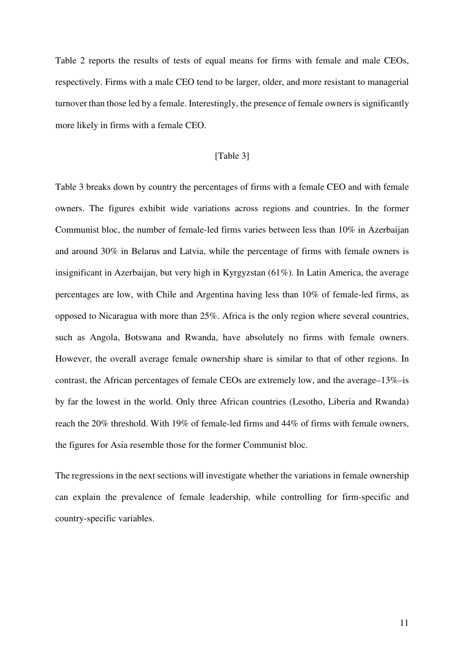Table 2 reports the results of tests of equal means for firms with female and male CEOs, respectively. Firms with a male CEO tend to be larger, older, and more resistant to managerial turnover than those led by a female. Interestingly, the presence of female owners is significantly more likely in firms with a female CEO.

#### [Table 3]

Table 3 breaks down by country the percentages of firms with a female CEO and with female owners. The figures exhibit wide variations across regions and countries. In the former Communist bloc, the number of female-led firms varies between less than 10% in Azerbaijan and around 30% in Belarus and Latvia, while the percentage of firms with female owners is insignificant in Azerbaijan, but very high in Kyrgyzstan (61%). In Latin America, the average percentages are low, with Chile and Argentina having less than 10% of female-led firms, as opposed to Nicaragua with more than 25%. Africa is the only region where several countries, such as Angola, Botswana and Rwanda, have absolutely no firms with female owners. However, the overall average female ownership share is similar to that of other regions. In contrast, the African percentages of female CEOs are extremely low, and the average–13%–is by far the lowest in the world. Only three African countries (Lesotho, Liberia and Rwanda) reach the 20% threshold. With 19% of female-led firms and 44% of firms with female owners, the figures for Asia resemble those for the former Communist bloc.

The regressions in the next sections will investigate whether the variations in female ownership can explain the prevalence of female leadership, while controlling for firm-specific and country-specific variables.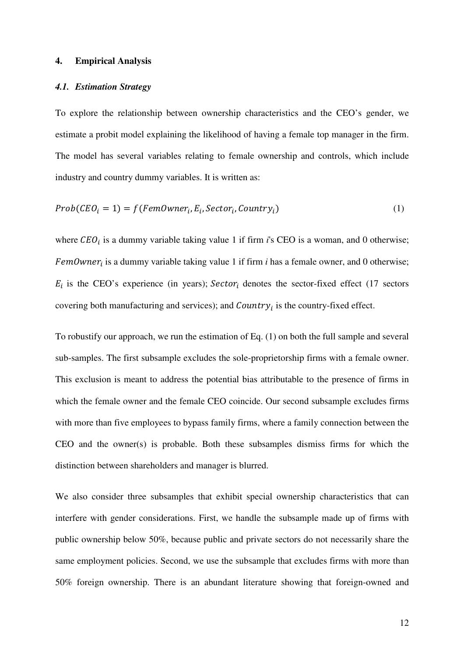#### **4. Empirical Analysis**

#### *4.1. Estimation Strategy*

To explore the relationship between ownership characteristics and the CEO's gender, we estimate a probit model explaining the likelihood of having a female top manager in the firm. The model has several variables relating to female ownership and controls, which include industry and country dummy variables. It is written as:

$$
Prob(CEOi = 1) = f(FemOwneri, Ei, Sectori, Countryi)
$$
\n(1)

where  $CEO_i$  is a dummy variable taking value 1 if firm  $i$ 's CEO is a woman, and 0 otherwise; FemOwner<sub>i</sub> is a dummy variable taking value 1 if firm *i* has a female owner, and 0 otherwise;  $E_i$  is the CEO's experience (in years); Sector<sub>i</sub> denotes the sector-fixed effect (17 sectors covering both manufacturing and services); and  $Country<sub>i</sub>$  is the country-fixed effect.

To robustify our approach, we run the estimation of Eq. (1) on both the full sample and several sub-samples. The first subsample excludes the sole-proprietorship firms with a female owner. This exclusion is meant to address the potential bias attributable to the presence of firms in which the female owner and the female CEO coincide. Our second subsample excludes firms with more than five employees to bypass family firms, where a family connection between the CEO and the owner(s) is probable. Both these subsamples dismiss firms for which the distinction between shareholders and manager is blurred.

We also consider three subsamples that exhibit special ownership characteristics that can interfere with gender considerations. First, we handle the subsample made up of firms with public ownership below 50%, because public and private sectors do not necessarily share the same employment policies. Second, we use the subsample that excludes firms with more than 50% foreign ownership. There is an abundant literature showing that foreign-owned and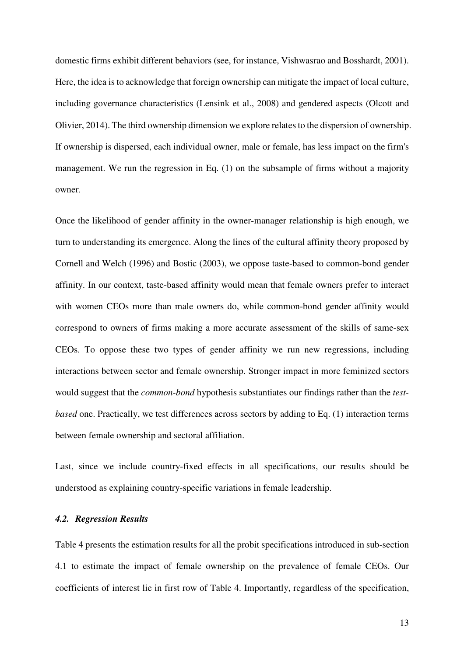domestic firms exhibit different behaviors (see, for instance, Vishwasrao and Bosshardt, 2001). Here, the idea is to acknowledge that foreign ownership can mitigate the impact of local culture, including governance characteristics (Lensink et al., 2008) and gendered aspects (Olcott and Olivier, 2014). The third ownership dimension we explore relates to the dispersion of ownership. If ownership is dispersed, each individual owner, male or female, has less impact on the firm's management. We run the regression in Eq. (1) on the subsample of firms without a majority owner.

Once the likelihood of gender affinity in the owner-manager relationship is high enough, we turn to understanding its emergence. Along the lines of the cultural affinity theory proposed by Cornell and Welch (1996) and Bostic (2003), we oppose taste-based to common-bond gender affinity. In our context, taste-based affinity would mean that female owners prefer to interact with women CEOs more than male owners do, while common-bond gender affinity would correspond to owners of firms making a more accurate assessment of the skills of same-sex CEOs. To oppose these two types of gender affinity we run new regressions, including interactions between sector and female ownership. Stronger impact in more feminized sectors would suggest that the *common-bond* hypothesis substantiates our findings rather than the *testbased* one. Practically, we test differences across sectors by adding to Eq. (1) interaction terms between female ownership and sectoral affiliation.

Last, since we include country-fixed effects in all specifications, our results should be understood as explaining country-specific variations in female leadership.

#### *4.2. Regression Results*

Table 4 presents the estimation results for all the probit specifications introduced in sub-section 4.1 to estimate the impact of female ownership on the prevalence of female CEOs. Our coefficients of interest lie in first row of Table 4. Importantly, regardless of the specification,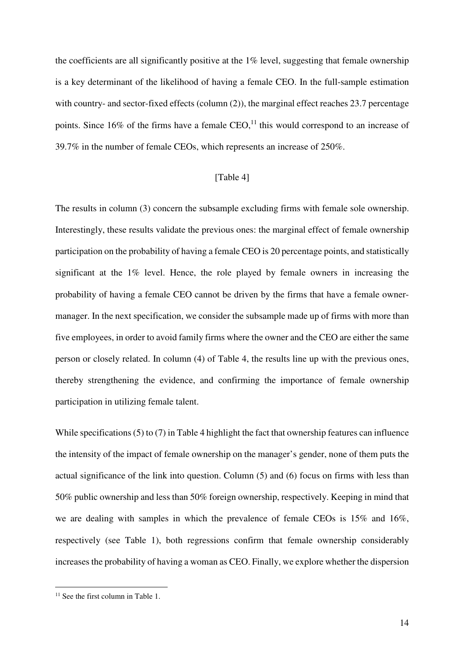the coefficients are all significantly positive at the 1% level, suggesting that female ownership is a key determinant of the likelihood of having a female CEO. In the full-sample estimation with country- and sector-fixed effects (column (2)), the marginal effect reaches 23.7 percentage points. Since 16% of the firms have a female CEO, $^{11}$  this would correspond to an increase of 39.7% in the number of female CEOs, which represents an increase of 250%.

#### [Table 4]

The results in column (3) concern the subsample excluding firms with female sole ownership. Interestingly, these results validate the previous ones: the marginal effect of female ownership participation on the probability of having a female CEO is 20 percentage points, and statistically significant at the 1% level. Hence, the role played by female owners in increasing the probability of having a female CEO cannot be driven by the firms that have a female ownermanager. In the next specification, we consider the subsample made up of firms with more than five employees, in order to avoid family firms where the owner and the CEO are either the same person or closely related. In column (4) of Table 4, the results line up with the previous ones, thereby strengthening the evidence, and confirming the importance of female ownership participation in utilizing female talent.

While specifications (5) to (7) in Table 4 highlight the fact that ownership features can influence the intensity of the impact of female ownership on the manager's gender, none of them puts the actual significance of the link into question. Column (5) and (6) focus on firms with less than 50% public ownership and less than 50% foreign ownership, respectively. Keeping in mind that we are dealing with samples in which the prevalence of female CEOs is 15% and 16%, respectively (see Table 1), both regressions confirm that female ownership considerably increases the probability of having a woman as CEO. Finally, we explore whether the dispersion

 $11$  See the first column in Table 1.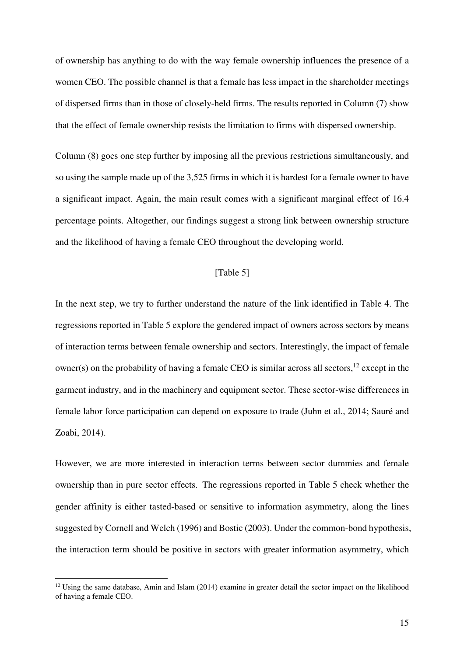of ownership has anything to do with the way female ownership influences the presence of a women CEO. The possible channel is that a female has less impact in the shareholder meetings of dispersed firms than in those of closely-held firms. The results reported in Column (7) show that the effect of female ownership resists the limitation to firms with dispersed ownership.

Column (8) goes one step further by imposing all the previous restrictions simultaneously, and so using the sample made up of the 3,525 firms in which it is hardest for a female owner to have a significant impact. Again, the main result comes with a significant marginal effect of 16.4 percentage points. Altogether, our findings suggest a strong link between ownership structure and the likelihood of having a female CEO throughout the developing world.

#### [Table 5]

In the next step, we try to further understand the nature of the link identified in Table 4. The regressions reported in Table 5 explore the gendered impact of owners across sectors by means of interaction terms between female ownership and sectors. Interestingly, the impact of female owner(s) on the probability of having a female CEO is similar across all sectors,<sup>12</sup> except in the garment industry, and in the machinery and equipment sector. These sector-wise differences in female labor force participation can depend on exposure to trade (Juhn et al., 2014; Sauré and Zoabi, 2014).

However, we are more interested in interaction terms between sector dummies and female ownership than in pure sector effects. The regressions reported in Table 5 check whether the gender affinity is either tasted-based or sensitive to information asymmetry, along the lines suggested by Cornell and Welch (1996) and Bostic (2003). Under the common-bond hypothesis, the interaction term should be positive in sectors with greater information asymmetry, which

<sup>&</sup>lt;sup>12</sup> Using the same database, Amin and Islam (2014) examine in greater detail the sector impact on the likelihood of having a female CEO.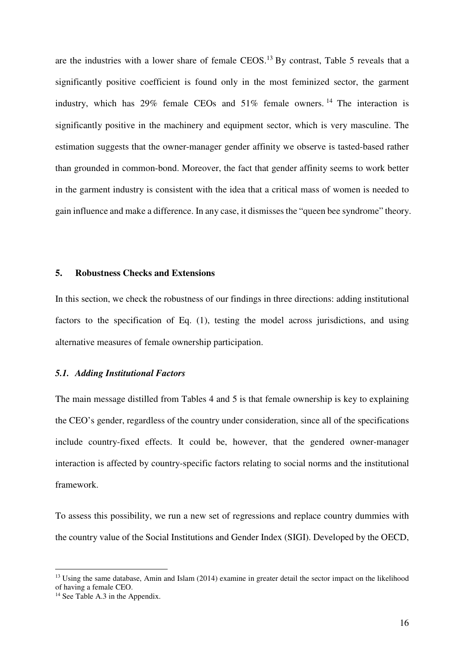are the industries with a lower share of female CEOS.<sup>13</sup> By contrast, Table 5 reveals that a significantly positive coefficient is found only in the most feminized sector, the garment industry, which has  $29\%$  female CEOs and  $51\%$  female owners. <sup>14</sup> The interaction is significantly positive in the machinery and equipment sector, which is very masculine. The estimation suggests that the owner-manager gender affinity we observe is tasted-based rather than grounded in common-bond. Moreover, the fact that gender affinity seems to work better in the garment industry is consistent with the idea that a critical mass of women is needed to gain influence and make a difference. In any case, it dismisses the "queen bee syndrome" theory.

#### **5. Robustness Checks and Extensions**

In this section, we check the robustness of our findings in three directions: adding institutional factors to the specification of Eq. (1), testing the model across jurisdictions, and using alternative measures of female ownership participation.

#### *5.1. Adding Institutional Factors*

The main message distilled from Tables 4 and 5 is that female ownership is key to explaining the CEO's gender, regardless of the country under consideration, since all of the specifications include country-fixed effects. It could be, however, that the gendered owner-manager interaction is affected by country-specific factors relating to social norms and the institutional framework.

To assess this possibility, we run a new set of regressions and replace country dummies with the country value of the Social Institutions and Gender Index (SIGI). Developed by the OECD,

<sup>&</sup>lt;sup>13</sup> Using the same database, Amin and Islam (2014) examine in greater detail the sector impact on the likelihood of having a female CEO.

<sup>&</sup>lt;sup>14</sup> See Table A.3 in the Appendix.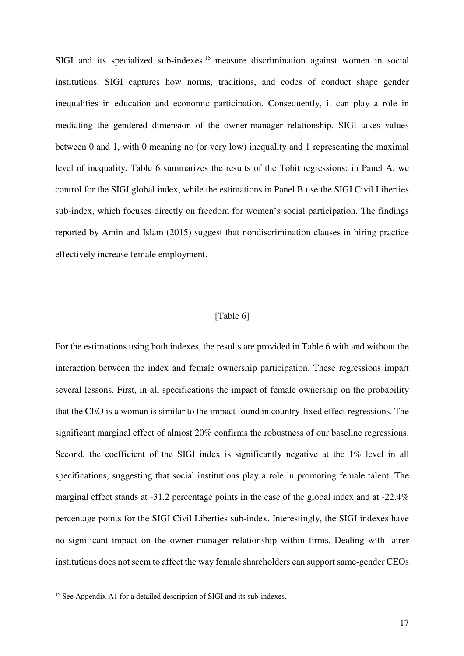SIGI and its specialized sub-indexes <sup>15</sup> measure discrimination against women in social institutions. SIGI captures how norms, traditions, and codes of conduct shape gender inequalities in education and economic participation. Consequently, it can play a role in mediating the gendered dimension of the owner-manager relationship. SIGI takes values between 0 and 1, with 0 meaning no (or very low) inequality and 1 representing the maximal level of inequality. Table 6 summarizes the results of the Tobit regressions: in Panel A, we control for the SIGI global index, while the estimations in Panel B use the SIGI Civil Liberties sub-index, which focuses directly on freedom for women's social participation. The findings reported by Amin and Islam (2015) suggest that nondiscrimination clauses in hiring practice effectively increase female employment.

#### [Table 6]

For the estimations using both indexes, the results are provided in Table 6 with and without the interaction between the index and female ownership participation. These regressions impart several lessons. First, in all specifications the impact of female ownership on the probability that the CEO is a woman is similar to the impact found in country-fixed effect regressions. The significant marginal effect of almost 20% confirms the robustness of our baseline regressions. Second, the coefficient of the SIGI index is significantly negative at the 1% level in all specifications, suggesting that social institutions play a role in promoting female talent. The marginal effect stands at -31.2 percentage points in the case of the global index and at -22.4% percentage points for the SIGI Civil Liberties sub-index. Interestingly, the SIGI indexes have no significant impact on the owner-manager relationship within firms. Dealing with fairer institutions does not seem to affect the way female shareholders can support same-gender CEOs

<sup>&</sup>lt;sup>15</sup> See Appendix A1 for a detailed description of SIGI and its sub-indexes.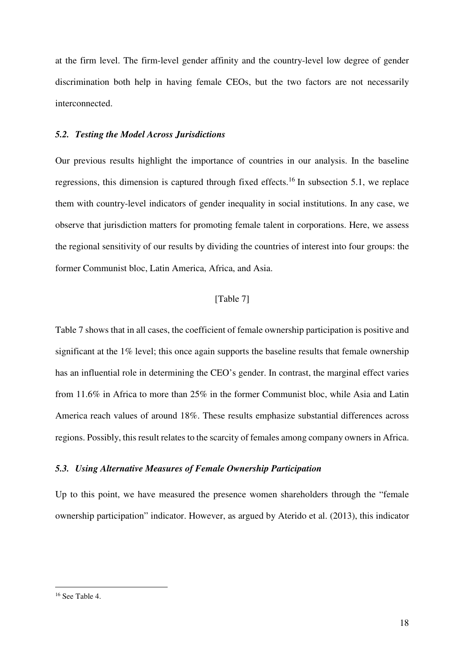at the firm level. The firm-level gender affinity and the country-level low degree of gender discrimination both help in having female CEOs, but the two factors are not necessarily interconnected.

#### *5.2. Testing the Model Across Jurisdictions*

Our previous results highlight the importance of countries in our analysis. In the baseline regressions, this dimension is captured through fixed effects.<sup>16</sup> In subsection 5.1, we replace them with country-level indicators of gender inequality in social institutions. In any case, we observe that jurisdiction matters for promoting female talent in corporations. Here, we assess the regional sensitivity of our results by dividing the countries of interest into four groups: the former Communist bloc, Latin America, Africa, and Asia.

#### [Table 7]

Table 7 shows that in all cases, the coefficient of female ownership participation is positive and significant at the 1% level; this once again supports the baseline results that female ownership has an influential role in determining the CEO's gender. In contrast, the marginal effect varies from 11.6% in Africa to more than 25% in the former Communist bloc, while Asia and Latin America reach values of around 18%. These results emphasize substantial differences across regions. Possibly, this result relates to the scarcity of females among company owners in Africa.

#### *5.3. Using Alternative Measures of Female Ownership Participation*

Up to this point, we have measured the presence women shareholders through the "female ownership participation" indicator. However, as argued by Aterido et al. (2013), this indicator

<sup>16</sup> See Table 4.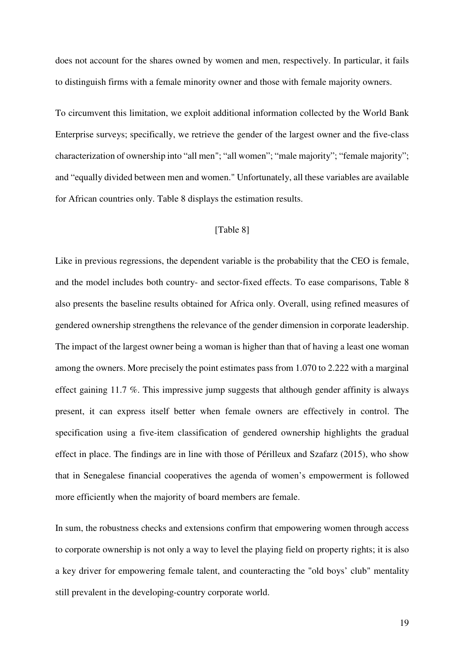does not account for the shares owned by women and men, respectively. In particular, it fails to distinguish firms with a female minority owner and those with female majority owners.

To circumvent this limitation, we exploit additional information collected by the World Bank Enterprise surveys; specifically, we retrieve the gender of the largest owner and the five-class characterization of ownership into "all men"; "all women"; "male majority"; "female majority"; and "equally divided between men and women." Unfortunately, all these variables are available for African countries only. Table 8 displays the estimation results.

#### [Table 8]

Like in previous regressions, the dependent variable is the probability that the CEO is female, and the model includes both country- and sector-fixed effects. To ease comparisons, Table 8 also presents the baseline results obtained for Africa only. Overall, using refined measures of gendered ownership strengthens the relevance of the gender dimension in corporate leadership. The impact of the largest owner being a woman is higher than that of having a least one woman among the owners. More precisely the point estimates pass from 1.070 to 2.222 with a marginal effect gaining 11.7 %. This impressive jump suggests that although gender affinity is always present, it can express itself better when female owners are effectively in control. The specification using a five-item classification of gendered ownership highlights the gradual effect in place. The findings are in line with those of Périlleux and Szafarz (2015), who show that in Senegalese financial cooperatives the agenda of women's empowerment is followed more efficiently when the majority of board members are female.

In sum, the robustness checks and extensions confirm that empowering women through access to corporate ownership is not only a way to level the playing field on property rights; it is also a key driver for empowering female talent, and counteracting the "old boys' club" mentality still prevalent in the developing-country corporate world.

19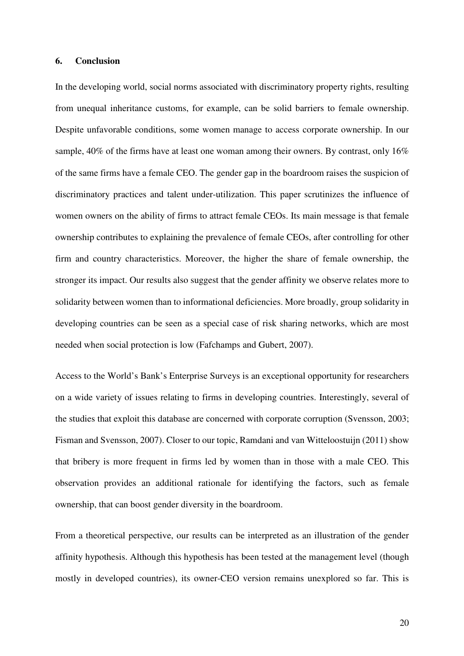#### **6. Conclusion**

In the developing world, social norms associated with discriminatory property rights, resulting from unequal inheritance customs, for example, can be solid barriers to female ownership. Despite unfavorable conditions, some women manage to access corporate ownership. In our sample, 40% of the firms have at least one woman among their owners. By contrast, only 16% of the same firms have a female CEO. The gender gap in the boardroom raises the suspicion of discriminatory practices and talent under-utilization. This paper scrutinizes the influence of women owners on the ability of firms to attract female CEOs. Its main message is that female ownership contributes to explaining the prevalence of female CEOs, after controlling for other firm and country characteristics. Moreover, the higher the share of female ownership, the stronger its impact. Our results also suggest that the gender affinity we observe relates more to solidarity between women than to informational deficiencies. More broadly, group solidarity in developing countries can be seen as a special case of risk sharing networks, which are most needed when social protection is low (Fafchamps and Gubert, 2007).

Access to the World's Bank's Enterprise Surveys is an exceptional opportunity for researchers on a wide variety of issues relating to firms in developing countries. Interestingly, several of the studies that exploit this database are concerned with corporate corruption (Svensson, 2003; Fisman and Svensson, 2007). Closer to our topic, Ramdani and van Witteloostuijn (2011) show that bribery is more frequent in firms led by women than in those with a male CEO. This observation provides an additional rationale for identifying the factors, such as female ownership, that can boost gender diversity in the boardroom.

From a theoretical perspective, our results can be interpreted as an illustration of the gender affinity hypothesis. Although this hypothesis has been tested at the management level (though mostly in developed countries), its owner-CEO version remains unexplored so far. This is

20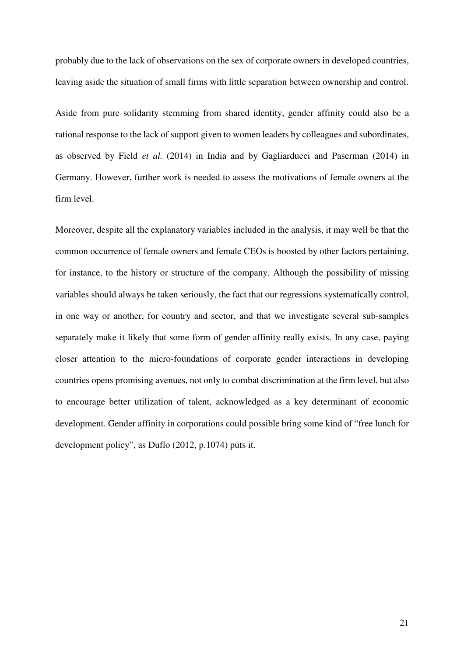probably due to the lack of observations on the sex of corporate owners in developed countries, leaving aside the situation of small firms with little separation between ownership and control.

Aside from pure solidarity stemming from shared identity, gender affinity could also be a rational response to the lack of support given to women leaders by colleagues and subordinates, as observed by Field *et al.* (2014) in India and by Gagliarducci and Paserman (2014) in Germany. However, further work is needed to assess the motivations of female owners at the firm level.

Moreover, despite all the explanatory variables included in the analysis, it may well be that the common occurrence of female owners and female CEOs is boosted by other factors pertaining, for instance, to the history or structure of the company. Although the possibility of missing variables should always be taken seriously, the fact that our regressions systematically control, in one way or another, for country and sector, and that we investigate several sub-samples separately make it likely that some form of gender affinity really exists. In any case, paying closer attention to the micro-foundations of corporate gender interactions in developing countries opens promising avenues, not only to combat discrimination at the firm level, but also to encourage better utilization of talent, acknowledged as a key determinant of economic development. Gender affinity in corporations could possible bring some kind of "free lunch for development policy", as Duflo (2012, p.1074) puts it.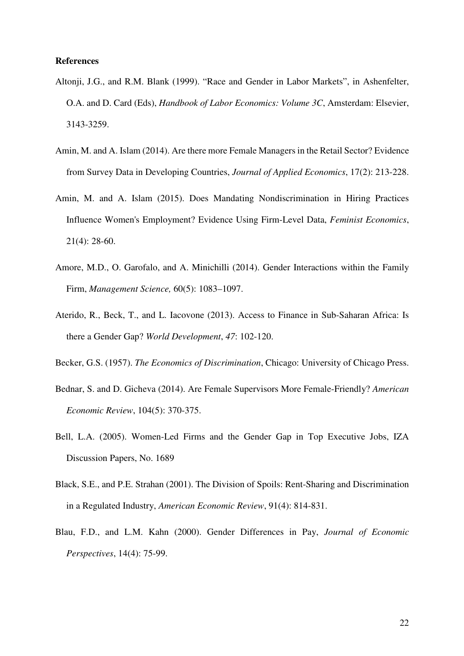#### **References**

- Altonji, J.G., and R.M. Blank (1999). "Race and Gender in Labor Markets", in Ashenfelter, O.A. and D. Card (Eds), *Handbook of Labor Economics: Volume 3C*, Amsterdam: Elsevier, 3143-3259.
- Amin, M. and A. Islam (2014). Are there more Female Managers in the Retail Sector? Evidence from Survey Data in Developing Countries, *Journal of Applied Economics*, 17(2): 213-228.
- Amin, M. and A. Islam (2015). Does Mandating Nondiscrimination in Hiring Practices Influence Women's Employment? Evidence Using Firm-Level Data, *Feminist Economics*, 21(4): 28-60.
- Amore, M.D., O. Garofalo, and A. Minichilli (2014). Gender Interactions within the Family Firm, *Management Science,* 60(5): 1083–1097.
- Aterido, R., Beck, T., and L. Iacovone (2013). Access to Finance in Sub-Saharan Africa: Is there a Gender Gap? *World Development*, *47*: 102-120.
- Becker, G.S. (1957). *The Economics of Discrimination*, Chicago: University of Chicago Press.
- Bednar, S. and D. Gicheva (2014). Are Female Supervisors More Female-Friendly? *American Economic Review*, 104(5): 370-375.
- Bell, L.A. (2005). Women-Led Firms and the Gender Gap in Top Executive Jobs, IZA Discussion Papers, No. 1689
- Black, S.E., and P.E. Strahan (2001). The Division of Spoils: Rent-Sharing and Discrimination in a Regulated Industry, *American Economic Review*, 91(4): 814-831.
- Blau, F.D., and L.M. Kahn (2000). Gender Differences in Pay, *Journal of Economic Perspectives*, 14(4): 75-99.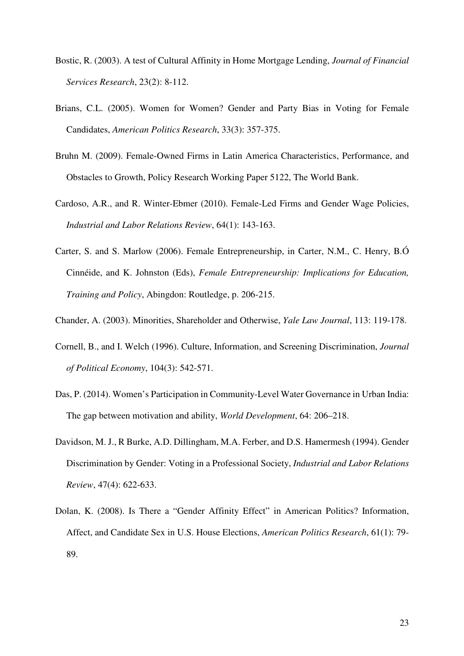- Bostic, R. (2003). A test of Cultural Affinity in Home Mortgage Lending, *Journal of Financial Services Research*, 23(2): 8-112.
- Brians, C.L. (2005). Women for Women? Gender and Party Bias in Voting for Female Candidates, *American Politics Research*, 33(3): 357-375.
- Bruhn M. (2009). Female-Owned Firms in Latin America Characteristics, Performance, and Obstacles to Growth, Policy Research Working Paper 5122, The World Bank.
- Cardoso, A.R., and R. Winter-Ebmer (2010). Female-Led Firms and Gender Wage Policies, *Industrial and Labor Relations Review*, 64(1): 143-163.
- Carter, S. and S. Marlow (2006). Female Entrepreneurship, in Carter, N.M., C. Henry, B.Ó Cinnéide, and K. Johnston (Eds), *Female Entrepreneurship: Implications for Education, Training and Policy*, Abingdon: Routledge, p. 206-215.
- Chander, A. (2003). Minorities, Shareholder and Otherwise, *Yale Law Journal*, 113: 119-178.
- Cornell, B., and I. Welch (1996). Culture, Information, and Screening Discrimination, *Journal of Political Economy*, 104(3): 542-571.
- Das, P. (2014). Women's Participation in Community-Level Water Governance in Urban India: The gap between motivation and ability, *World Development*, 64: 206–218.
- Davidson, M. J., R Burke, A.D. Dillingham, M.A. Ferber, and D.S. Hamermesh (1994). Gender Discrimination by Gender: Voting in a Professional Society, *Industrial and Labor Relations Review*, 47(4): 622-633.
- Dolan, K. (2008). Is There a "Gender Affinity Effect" in American Politics? Information, Affect, and Candidate Sex in U.S. House Elections, *American Politics Research*, 61(1): 79- 89.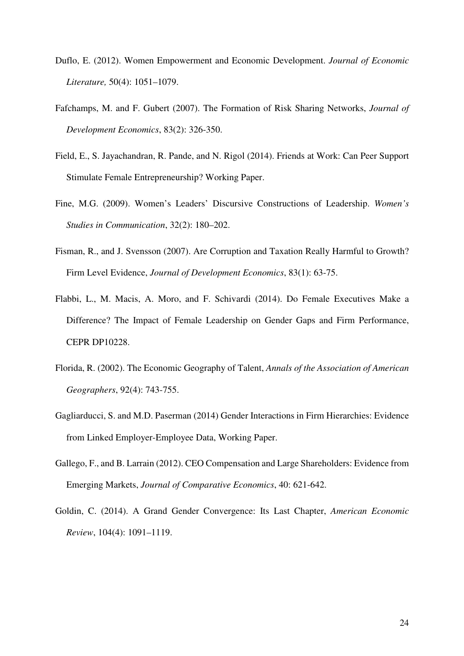- Duflo, E. (2012). Women Empowerment and Economic Development. *Journal of Economic Literature,* 50(4): 1051–1079.
- Fafchamps, M. and F. Gubert (2007). The Formation of Risk Sharing Networks, *Journal of Development Economics*, 83(2): 326-350.
- Field, E., S. Jayachandran, R. Pande, and N. Rigol (2014). Friends at Work: Can Peer Support Stimulate Female Entrepreneurship? Working Paper.
- Fine, M.G. (2009). Women's Leaders' Discursive Constructions of Leadership. *Women's Studies in Communication*, 32(2): 180–202.
- Fisman, R., and J. Svensson (2007). Are Corruption and Taxation Really Harmful to Growth? Firm Level Evidence, *Journal of Development Economics*, 83(1): 63-75.
- Flabbi, L., M. Macis, A. Moro, and F. Schivardi (2014). Do Female Executives Make a Difference? The Impact of Female Leadership on Gender Gaps and Firm Performance, CEPR DP10228.
- Florida, R. (2002). The Economic Geography of Talent, *Annals of the Association of American Geographers*, 92(4): 743-755.
- Gagliarducci, S. and M.D. Paserman (2014) Gender Interactions in Firm Hierarchies: Evidence from Linked Employer-Employee Data, Working Paper.
- Gallego, F., and B. Larrain (2012). CEO Compensation and Large Shareholders: Evidence from Emerging Markets, *Journal of Comparative Economics*, 40: 621-642.
- Goldin, C. (2014). A Grand Gender Convergence: Its Last Chapter, *American Economic Review*, 104(4): 1091–1119.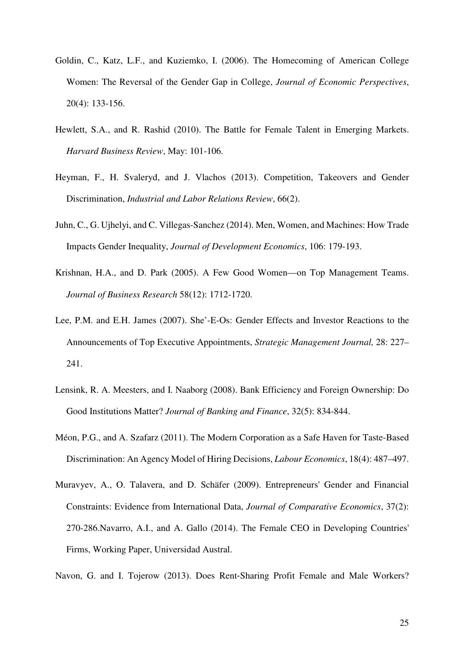- Goldin, C., Katz, L.F., and Kuziemko, I. (2006). The Homecoming of American College Women: The Reversal of the Gender Gap in College, *Journal of Economic Perspectives*, 20(4): 133-156.
- Hewlett, S.A., and R. Rashid (2010). The Battle for Female Talent in Emerging Markets. *Harvard Business Review*, May: 101-106.
- Heyman, F., H. Svaleryd, and J. Vlachos (2013). Competition, Takeovers and Gender Discrimination, *Industrial and Labor Relations Review*, 66(2).
- Juhn, C., G. Ujhelyi, and C. Villegas-Sanchez (2014). Men, Women, and Machines: How Trade Impacts Gender Inequality, *Journal of Development Economics*, 106: 179-193.
- Krishnan, H.A., and D. Park (2005). A Few Good Women—on Top Management Teams. *Journal of Business Research* 58(12): 1712-1720.
- Lee, P.M. and E.H. James (2007). She'-E-Os: Gender Effects and Investor Reactions to the Announcements of Top Executive Appointments, *Strategic Management Journal,* 28: 227– 241.
- Lensink, R. A. Meesters, and I. Naaborg (2008). Bank Efficiency and Foreign Ownership: Do Good Institutions Matter? *Journal of Banking and Finance*, 32(5): 834-844.
- Méon, P.G., and A. Szafarz (2011). The Modern Corporation as a Safe Haven for Taste-Based Discrimination: An Agency Model of Hiring Decisions, *Labour Economics*, 18(4): 487–497.
- Muravyev, A., O. Talavera, and D. Schäfer (2009). Entrepreneurs' Gender and Financial Constraints: Evidence from International Data, *Journal of Comparative Economics*, 37(2): 270-286.Navarro, A.I., and A. Gallo (2014). The Female CEO in Developing Countries' Firms, Working Paper, Universidad Austral.
- Navon, G. and I. Tojerow (2013). Does Rent‐Sharing Profit Female and Male Workers?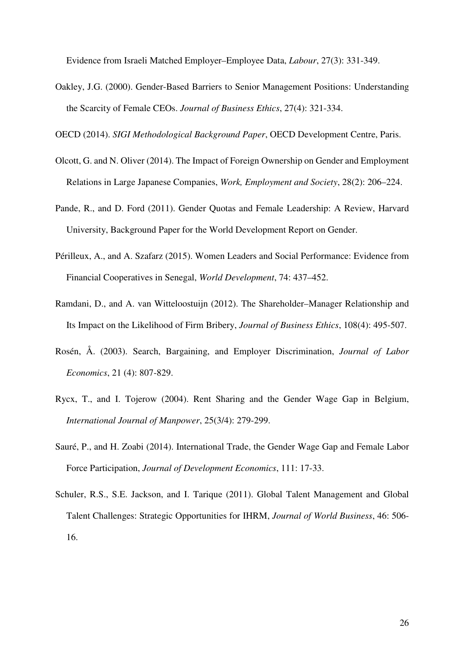Evidence from Israeli Matched Employer–Employee Data, *Labour*, 27(3): 331-349.

Oakley, J.G. (2000). Gender-Based Barriers to Senior Management Positions: Understanding the Scarcity of Female CEOs. *Journal of Business Ethics*, 27(4): 321-334.

OECD (2014). *SIGI Methodological Background Paper*, OECD Development Centre, Paris.

- Olcott, G. and N. Oliver (2014). The Impact of Foreign Ownership on Gender and Employment Relations in Large Japanese Companies, *Work, Employment and Society*, 28(2): 206–224.
- Pande, R., and D. Ford (2011). Gender Quotas and Female Leadership: A Review, Harvard University, Background Paper for the World Development Report on Gender.
- Périlleux, A., and A. Szafarz (2015). Women Leaders and Social Performance: Evidence from Financial Cooperatives in Senegal, *World Development*, 74: 437–452.
- Ramdani, D., and A. van Witteloostuijn (2012). The Shareholder–Manager Relationship and Its Impact on the Likelihood of Firm Bribery, *Journal of Business Ethics*, 108(4): 495-507.
- Rosén, Å. (2003). Search, Bargaining, and Employer Discrimination, *Journal of Labor Economics*, 21 (4): 807-829.
- Rycx, T., and I. Tojerow (2004). Rent Sharing and the Gender Wage Gap in Belgium, *International Journal of Manpower*, 25(3/4): 279-299.
- Sauré, P., and H. Zoabi (2014). International Trade, the Gender Wage Gap and Female Labor Force Participation, *Journal of Development Economics*, 111: 17-33.
- Schuler, R.S., S.E. Jackson, and I. Tarique (2011). Global Talent Management and Global Talent Challenges: Strategic Opportunities for IHRM, *Journal of World Business*, 46: 506- 16.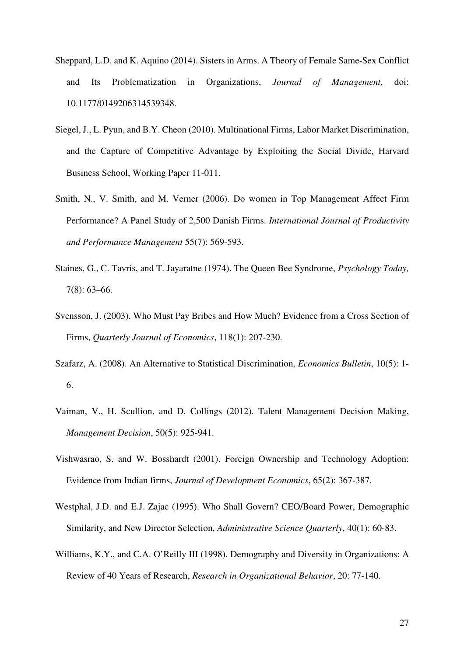- Sheppard, L.D. and K. Aquino (2014). Sisters in Arms. A Theory of Female Same-Sex Conflict and Its Problematization in Organizations, *Journal of Management*, doi: 10.1177/0149206314539348.
- Siegel, J., L. Pyun, and B.Y. Cheon (2010). Multinational Firms, Labor Market Discrimination, and the Capture of Competitive Advantage by Exploiting the Social Divide, Harvard Business School, Working Paper 11-011.
- Smith, N., V. Smith, and M. Verner (2006). Do women in Top Management Affect Firm Performance? A Panel Study of 2,500 Danish Firms. *International Journal of Productivity and Performance Management* 55(7): 569-593.
- Staines, G., C. Tavris, and T. Jayaratne (1974). The Queen Bee Syndrome, *Psychology Today,* 7(8): 63–66.
- Svensson, J. (2003). Who Must Pay Bribes and How Much? Evidence from a Cross Section of Firms, *Quarterly Journal of Economics*, 118(1): 207-230.
- Szafarz, A. (2008). An Alternative to Statistical Discrimination, *Economics Bulletin*, 10(5): 1- 6.
- Vaiman, V., H. Scullion, and D. Collings (2012). Talent Management Decision Making, *Management Decision*, 50(5): 925-941.
- Vishwasrao, S. and W. Bosshardt (2001). Foreign Ownership and Technology Adoption: Evidence from Indian firms, *Journal of Development Economics*, 65(2): 367-387.
- Westphal, J.D. and E.J. Zajac (1995). Who Shall Govern? CEO/Board Power, Demographic Similarity, and New Director Selection, *Administrative Science Quarterly*, 40(1): 60-83.
- Williams, K.Y., and C.A. O'Reilly III (1998). Demography and Diversity in Organizations: A Review of 40 Years of Research, *Research in Organizational Behavior*, 20: 77-140.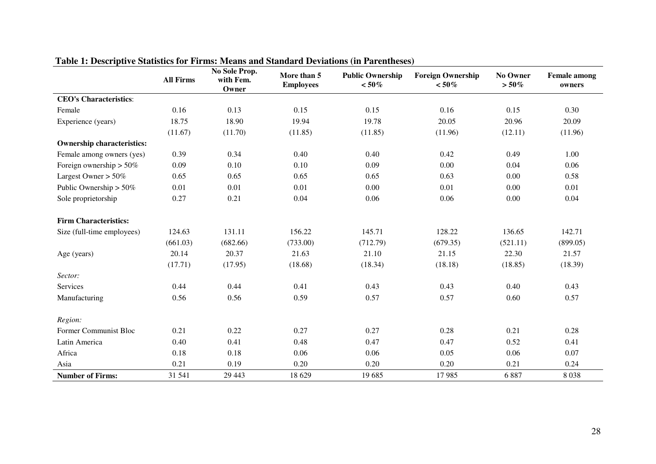|                                   | <b>All Firms</b> | No Sole Prop.<br>with Fem.<br>Owner | More than 5<br><b>Employees</b> | <b>Public Ownership</b><br>$< 50\%$ | <b>Foreign Ownership</b><br>$< 50\%$ | No Owner<br>$>50\%$ | <b>Female</b> among<br>owners |
|-----------------------------------|------------------|-------------------------------------|---------------------------------|-------------------------------------|--------------------------------------|---------------------|-------------------------------|
| <b>CEO's Characteristics:</b>     |                  |                                     |                                 |                                     |                                      |                     |                               |
| Female                            | 0.16             | 0.13                                | 0.15                            | 0.15                                | 0.16                                 | 0.15                | 0.30                          |
| Experience (years)                | 18.75            | 18.90                               | 19.94                           | 19.78                               | 20.05                                | 20.96               | 20.09                         |
|                                   | (11.67)          | (11.70)                             | (11.85)                         | (11.85)                             | (11.96)                              | (12.11)             | (11.96)                       |
| <b>Ownership characteristics:</b> |                  |                                     |                                 |                                     |                                      |                     |                               |
| Female among owners (yes)         | 0.39             | 0.34                                | 0.40                            | 0.40                                | 0.42                                 | 0.49                | 1.00                          |
| Foreign ownership $> 50\%$        | 0.09             | 0.10                                | 0.10                            | 0.09                                | 0.00                                 | 0.04                | 0.06                          |
| Largest Owner $> 50\%$            | 0.65             | 0.65                                | 0.65                            | 0.65                                | 0.63                                 | 0.00                | 0.58                          |
| Public Ownership $> 50\%$         | 0.01             | 0.01                                | 0.01                            | 0.00                                | 0.01                                 | 0.00                | 0.01                          |
| Sole proprietorship               | 0.27             | 0.21                                | 0.04                            | 0.06                                | 0.06                                 | 0.00                | 0.04                          |
| <b>Firm Characteristics:</b>      |                  |                                     |                                 |                                     |                                      |                     |                               |
| Size (full-time employees)        | 124.63           | 131.11                              | 156.22                          | 145.71                              | 128.22                               | 136.65              | 142.71                        |
|                                   | (661.03)         | (682.66)                            | (733.00)                        | (712.79)                            | (679.35)                             | (521.11)            | (899.05)                      |
| Age (years)                       | 20.14            | 20.37                               | 21.63                           | 21.10                               | 21.15                                | 22.30               | 21.57                         |
|                                   | (17.71)          | (17.95)                             | (18.68)                         | (18.34)                             | (18.18)                              | (18.85)             | (18.39)                       |
| Sector:                           |                  |                                     |                                 |                                     |                                      |                     |                               |
| Services                          | 0.44             | 0.44                                | 0.41                            | 0.43                                | 0.43                                 | 0.40                | 0.43                          |
| Manufacturing                     | 0.56             | 0.56                                | 0.59                            | 0.57                                | 0.57                                 | 0.60                | 0.57                          |
| Region:                           |                  |                                     |                                 |                                     |                                      |                     |                               |
| Former Communist Bloc             | 0.21             | 0.22                                | 0.27                            | 0.27                                | 0.28                                 | 0.21                | 0.28                          |
| Latin America                     | 0.40             | 0.41                                | 0.48                            | 0.47                                | 0.47                                 | 0.52                | 0.41                          |
| Africa                            | 0.18             | 0.18                                | 0.06                            | 0.06                                | 0.05                                 | 0.06                | 0.07                          |
| Asia                              | 0.21             | 0.19                                | 0.20                            | 0.20                                | 0.20                                 | 0.21                | 0.24                          |
| <b>Number of Firms:</b>           | 31 541           | 29 4 43                             | 18 629                          | 19 685                              | 17985                                | 6887                | 8038                          |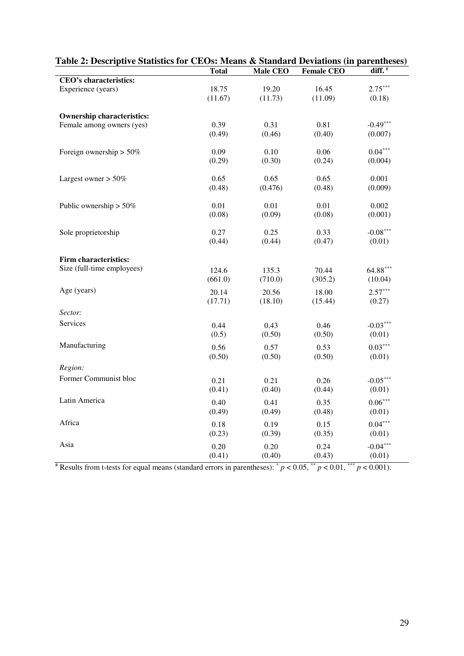| (a) $\alpha$ , best part bansnes for $\alpha$ bos means $\alpha$ banance bettanons (in pareminescs) |              |          |                   |                    |
|-----------------------------------------------------------------------------------------------------|--------------|----------|-------------------|--------------------|
|                                                                                                     | <b>Total</b> | Male CEO | <b>Female CEO</b> | diff. <sup>#</sup> |
| CEO's characteristics:                                                                              |              |          |                   |                    |
| Experience (years)                                                                                  | 18.75        | 19.20    | 16.45             | $2.75***$          |
|                                                                                                     | (11.67)      | (11.73)  | (11.09)           | (0.18)             |
| <b>Ownership characteristics:</b>                                                                   |              |          |                   |                    |
| Female among owners (yes)                                                                           | 0.39         | 0.31     | 0.81              | $-0.49***$         |
|                                                                                                     | (0.49)       | (0.46)   | (0.40)            | (0.007)            |
| Foreign ownership $> 50\%$                                                                          | 0.09         | 0.10     | 0.06              | $0.04***$          |
|                                                                                                     | (0.29)       | (0.30)   | (0.24)            | (0.004)            |
| Largest owner $> 50\%$                                                                              | 0.65         | 0.65     | 0.65              | 0.001              |
|                                                                                                     | (0.48)       | (0.476)  | (0.48)            | (0.009)            |
| Public ownership $> 50\%$                                                                           | 0.01         | 0.01     | 0.01              | 0.002              |
|                                                                                                     | (0.08)       | (0.09)   | (0.08)            | (0.001)            |
| Sole proprietorship                                                                                 | 0.27         | 0.25     | 0.33              | $-0.08***$         |
|                                                                                                     | (0.44)       | (0.44)   | (0.47)            | (0.01)             |
| <b>Firm characteristics:</b>                                                                        |              |          |                   |                    |
| Size (full-time employees)                                                                          | 124.6        | 135.3    | 70.44             | 64.88***           |
|                                                                                                     | (661.0)      | (710.0)  | (305.2)           | (10.04)            |
| Age (years)                                                                                         | 20.14        | 20.56    | 18.00             | $2.57***$          |
|                                                                                                     | (17.71)      | (18.10)  | (15.44)           | (0.27)             |
| Sector:                                                                                             |              |          |                   |                    |
| Services                                                                                            | 0.44         | 0.43     | 0.46              | $-0.03***$         |
|                                                                                                     | (0.5)        | (0.50)   | (0.50)            | (0.01)             |
| Manufacturing                                                                                       | 0.56         | 0.57     | 0.53              | $0.03***$          |
|                                                                                                     | (0.50)       | (0.50)   | (0.50)            | (0.01)             |
| Region:                                                                                             |              |          |                   |                    |
| Former Communist bloc                                                                               | 0.21         | 0.21     | 0.26              | $-0.05***$         |
|                                                                                                     | (0.41)       | (0.40)   | (0.44)            | (0.01)             |
| Latin America                                                                                       | 0.40         | 0.41     | 0.35              | $0.06***$          |
|                                                                                                     | (0.49)       | (0.49)   | (0.48)            | (0.01)             |
| Africa                                                                                              | 0.18         | 0.19     | 0.15              | $0.04***$          |
|                                                                                                     | (0.23)       | (0.39)   | (0.35)            | (0.01)             |
| Asia                                                                                                | 0.20         | 0.20     | 0.24              | $-0.04***$         |
|                                                                                                     | (0.41)       | (0.40)   | (0.43)            | (0.01)             |

| Table 2: Descriptive Statistics for CEOs: Means & Standard Deviations (in parentheses) |       |                 |                   |           |
|----------------------------------------------------------------------------------------|-------|-----------------|-------------------|-----------|
|                                                                                        | Total | <b>Male CEO</b> | <b>Female CEO</b> | diff. #   |
| CEO's characteristics:                                                                 |       |                 |                   |           |
| Experience (years)                                                                     | 18.75 | 19.20           | 16.45             | $2.75***$ |

 $*$  Results from t-tests for equal means (standard errors in parentheses):  $*$   $p$  < 0.05,  $*$   $p$  < 0.01,  $*$  $*$   $p$  < 0.001).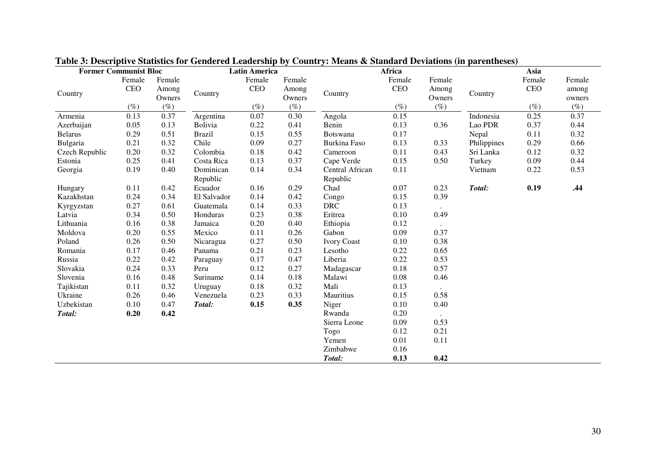| <b>Former Communist Bloc</b> |        |                 |                       | <b>Latin America</b> |                 |                             | Africa |                 |             | Asia   |                 |
|------------------------------|--------|-----------------|-----------------------|----------------------|-----------------|-----------------------------|--------|-----------------|-------------|--------|-----------------|
|                              | Female | Female          |                       | Female               | Female          |                             | Female | Female          |             | Female | Female          |
| Country                      | CEO    | Among<br>Owners | Country               | <b>CEO</b>           | Among<br>Owners | Country                     | CEO    | Among<br>Owners | Country     | CEO    | among<br>owners |
|                              | $(\%)$ | $(\%)$          |                       | $(\%)$               | $(\%)$          |                             | $(\%)$ | $(\%)$          |             | $(\%)$ | $(\%)$          |
| Armenia                      | 0.13   | 0.37            | Argentina             | 0.07                 | 0.30            | Angola                      | 0.15   |                 | Indonesia   | 0.25   | 0.37            |
| Azerbaijan                   | 0.05   | 0.13            | Bolivia               | 0.22                 | 0.41            | Benin                       | 0.13   | 0.36            | Lao PDR     | 0.37   | 0.44            |
| <b>Belarus</b>               | 0.29   | 0.51            | <b>Brazil</b>         | 0.15                 | 0.55            | Botswana                    | 0.17   |                 | Nepal       | 0.11   | 0.32            |
| Bulgaria                     | 0.21   | 0.32            | Chile                 | 0.09                 | 0.27            | Burkina Faso                | 0.13   | 0.33            | Philippines | 0.29   | 0.66            |
| Czech Republic               | 0.20   | 0.32            | Colombia              | 0.18                 | 0.42            | Cameroon                    | 0.11   | 0.43            | Sri Lanka   | 0.12   | 0.32            |
| Estonia                      | 0.25   | 0.41            | Costa Rica            | 0.13                 | 0.37            | Cape Verde                  | 0.15   | 0.50            | Turkey      | 0.09   | 0.44            |
| Georgia                      | 0.19   | 0.40            | Dominican<br>Republic | 0.14                 | 0.34            | Central African<br>Republic | 0.11   |                 | Vietnam     | 0.22   | 0.53            |
| Hungary                      | 0.11   | 0.42            | Ecuador               | 0.16                 | 0.29            | Chad                        | 0.07   | 0.23            | Total:      | 0.19   | .44             |
| Kazakhstan                   | 0.24   | 0.34            | El Salvador           | 0.14                 | 0.42            | Congo                       | 0.15   | 0.39            |             |        |                 |
| Kyrgyzstan                   | 0.27   | 0.61            | Guatemala             | 0.14                 | 0.33            | <b>DRC</b>                  | 0.13   |                 |             |        |                 |
| Latvia                       | 0.34   | 0.50            | Honduras              | 0.23                 | 0.38            | Eritrea                     | 0.10   | 0.49            |             |        |                 |
| Lithuania                    | 0.16   | 0.38            | Jamaica               | 0.20                 | 0.40            | Ethiopia                    | 0.12   |                 |             |        |                 |
| Moldova                      | 0.20   | 0.55            | Mexico                | 0.11                 | 0.26            | Gabon                       | 0.09   | 0.37            |             |        |                 |
| Poland                       | 0.26   | 0.50            | Nicaragua             | 0.27                 | 0.50            | <b>Ivory Coast</b>          | 0.10   | 0.38            |             |        |                 |
| Romania                      | 0.17   | 0.46            | Panama                | 0.21                 | 0.23            | Lesotho                     | 0.22   | 0.65            |             |        |                 |
| Russia                       | 0.22   | 0.42            | Paraguay              | 0.17                 | 0.47            | Liberia                     | 0.22   | 0.53            |             |        |                 |
| Slovakia                     | 0.24   | 0.33            | Peru                  | 0.12                 | 0.27            | Madagascar                  | 0.18   | 0.57            |             |        |                 |
| Slovenia                     | 0.16   | 0.48            | Suriname              | 0.14                 | 0.18            | Malawi                      | 0.08   | 0.46            |             |        |                 |
| Tajikistan                   | 0.11   | 0.32            | Uruguay               | 0.18                 | 0.32            | Mali                        | 0.13   |                 |             |        |                 |
| Ukraine                      | 0.26   | 0.46            | Venezuela             | 0.23                 | 0.33            | Mauritius                   | 0.15   | 0.58            |             |        |                 |
| Uzbekistan                   | 0.10   | 0.47            | Total:                | 0.15                 | 0.35            | Niger                       | 0.10   | 0.40            |             |        |                 |
| Total:                       | 0.20   | 0.42            |                       |                      |                 | Rwanda                      | 0.20   |                 |             |        |                 |
|                              |        |                 |                       |                      |                 | Sierra Leone                | 0.09   | 0.53            |             |        |                 |
|                              |        |                 |                       |                      |                 | Togo                        | 0.12   | 0.21            |             |        |                 |
|                              |        |                 |                       |                      |                 | Yemen                       | 0.01   | 0.11            |             |        |                 |
|                              |        |                 |                       |                      |                 | Zimbabwe                    | 0.16   |                 |             |        |                 |
|                              |        |                 |                       |                      |                 | Total:                      | 0.13   | 0.42            |             |        |                 |

**Table 3: Descriptive Statistics for Gendered Leadership by Country: Means & Standard Deviations (in parentheses)**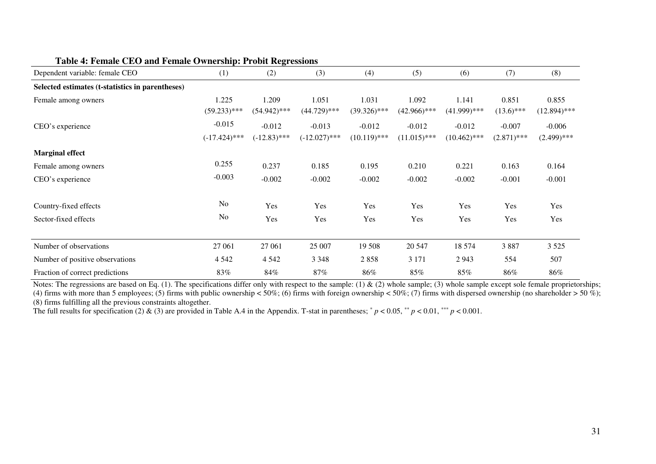| Dependent variable: female CEO                   | (1)                         | (2)                        | (3)                         | (4)                        | (5)                        | (6)                        | (7)                       | (8)                       |
|--------------------------------------------------|-----------------------------|----------------------------|-----------------------------|----------------------------|----------------------------|----------------------------|---------------------------|---------------------------|
| Selected estimates (t-statistics in parentheses) |                             |                            |                             |                            |                            |                            |                           |                           |
| Female among owners                              | 1.225<br>$(59.233)$ ***     | 1.209<br>$(54.942)$ ***    | 1.051<br>$(44.729)$ ***     | 1.031<br>$(39.326)$ ***    | 1.092<br>$(42.966)$ ***    | 1.141<br>$(41.999)$ ***    | 0.851<br>$(13.6)$ ***     | 0.855<br>$(12.894)$ ***   |
| CEO's experience                                 | $-0.015$<br>$(-17.424)$ *** | $-0.012$<br>$(-12.83)$ *** | $-0.013$<br>$(-12.027)$ *** | $-0.012$<br>$(10.119)$ *** | $-0.012$<br>$(11.015)$ *** | $-0.012$<br>$(10.462)$ *** | $-0.007$<br>$(2.871)$ *** | $-0.006$<br>$(2.499)$ *** |
| <b>Marginal effect</b>                           |                             |                            |                             |                            |                            |                            |                           |                           |
| Female among owners                              | 0.255                       | 0.237                      | 0.185                       | 0.195                      | 0.210                      | 0.221                      | 0.163                     | 0.164                     |
| CEO's experience                                 | $-0.003$                    | $-0.002$                   | $-0.002$                    | $-0.002$                   | $-0.002$                   | $-0.002$                   | $-0.001$                  | $-0.001$                  |
| Country-fixed effects                            | N <sub>o</sub>              | Yes                        | Yes                         | Yes                        | Yes                        | Yes                        | Yes                       | Yes                       |
| Sector-fixed effects                             | N <sub>o</sub>              | Yes                        | Yes                         | Yes                        | Yes                        | Yes                        | Yes                       | Yes                       |
| Number of observations                           | 27 061                      | 27 061                     | 25 007                      | 19 508                     | 20 547                     | 18 574                     | 3887                      | 3 5 2 5                   |
| Number of positive observations                  | 4 5 4 2                     | 4 5 4 2                    | 3 3 4 8                     | 2858                       | 3 1 7 1                    | 2943                       | 554                       | 507                       |
| Fraction of correct predictions                  | 83%                         | 84%                        | $87\%$                      | 86%                        | 85%                        | 85%                        | 86%                       | 86%                       |

#### **Table 4: Female CEO and Female Ownership: Probit Regressions**

Fraction of correct predictions 83% 84% 87% 86% 85% 85% 86% 86% Notes: The regressions are based on Eq. (1). The specifications differ only with respect to the sample: (1) & (2) whole sample; (3) whole sample except sole female proprietorships; (4) firms with more than 5 employees; (5) firms with public ownership < 50%; (6) firms with foreign ownership < 50%; (7) firms with dispersed ownership (no shareholder > 50%); (8) firms fulfilling all the previous constraints altogether.

The full results for specification (2) & (3) are provided in Table A.4 in the Appendix. T-stat in parentheses;  $p < 0.05$ ,  $p < 0.01$ ,  $p < 0.01$ ,  $p < 0.001$ .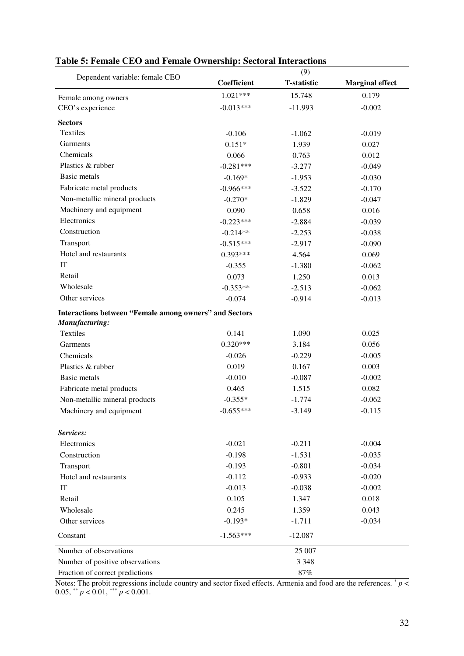|                                                               |             | (9)                |                        |
|---------------------------------------------------------------|-------------|--------------------|------------------------|
| Dependent variable: female CEO                                | Coefficient | <b>T-statistic</b> | <b>Marginal effect</b> |
| Female among owners                                           | $1.021***$  | 15.748             | 0.179                  |
| CEO's experience                                              | $-0.013***$ | $-11.993$          | $-0.002$               |
| <b>Sectors</b>                                                |             |                    |                        |
| <b>Textiles</b>                                               | $-0.106$    | $-1.062$           | $-0.019$               |
| Garments                                                      | $0.151*$    | 1.939              | 0.027                  |
| Chemicals                                                     | 0.066       | 0.763              | 0.012                  |
| Plastics & rubber                                             | $-0.281***$ | $-3.277$           | $-0.049$               |
| <b>Basic metals</b>                                           | $-0.169*$   | $-1.953$           | $-0.030$               |
| Fabricate metal products                                      | $-0.966***$ | $-3.522$           | $-0.170$               |
| Non-metallic mineral products                                 | $-0.270*$   | $-1.829$           | $-0.047$               |
| Machinery and equipment                                       | 0.090       | 0.658              | 0.016                  |
| Electronics                                                   | $-0.223***$ | $-2.884$           | $-0.039$               |
| Construction                                                  | $-0.214**$  | $-2.253$           | $-0.038$               |
| Transport                                                     | $-0.515***$ | $-2.917$           | $-0.090$               |
| Hotel and restaurants                                         | $0.393***$  | 4.564              | 0.069                  |
| IT                                                            | $-0.355$    | $-1.380$           | $-0.062$               |
| Retail                                                        | 0.073       | 1.250              | 0.013                  |
| Wholesale                                                     | $-0.353**$  | $-2.513$           | $-0.062$               |
| Other services                                                | $-0.074$    | $-0.914$           | $-0.013$               |
| <b>Interactions between "Female among owners" and Sectors</b> |             |                    |                        |
| Manufacturing:                                                |             |                    |                        |
| <b>Textiles</b>                                               | 0.141       | 1.090              | 0.025                  |
| Garments                                                      | $0.320***$  | 3.184              | 0.056                  |
| Chemicals                                                     | $-0.026$    | $-0.229$           | $-0.005$               |
| Plastics & rubber                                             | 0.019       | 0.167              | 0.003                  |
| <b>Basic</b> metals                                           | $-0.010$    | $-0.087$           | $-0.002$               |
| Fabricate metal products                                      | 0.465       | 1.515              | 0.082                  |
| Non-metallic mineral products                                 | $-0.355*$   | $-1.774$           | $-0.062$               |
| Machinery and equipment                                       | $-0.655***$ | $-3.149$           | $-0.115$               |
|                                                               |             |                    |                        |
| Services:                                                     |             |                    |                        |
| Electronics                                                   | $-0.021$    | $-0.211$           | $-0.004$               |
| Construction                                                  | $-0.198$    | $-1.531$           | $-0.035$               |
| Transport                                                     | $-0.193$    | $-0.801$           | $-0.034$               |
| Hotel and restaurants                                         | $-0.112$    | $-0.933$           | $-0.020$               |
| IT                                                            | $-0.013$    | $-0.038$           | $-0.002$               |
| Retail                                                        | 0.105       | 1.347              | 0.018                  |
| Wholesale                                                     | 0.245       | 1.359              | 0.043                  |
| Other services                                                | $-0.193*$   | $-1.711$           | $-0.034$               |
| Constant                                                      | $-1.563***$ | $-12.087$          |                        |
| Number of observations                                        |             | 25 007             |                        |
| Number of positive observations                               |             | 3 3 4 8            |                        |
| Fraction of correct predictions                               |             | $87\%$             |                        |

#### **Table 5: Female CEO and Female Ownership: Sectoral Interactions**

Notes: The probit regressions include country and sector fixed effects. Armenia and food are the references. \* *p* < 0.05, \*\*  $p < 0.01$ , \*\*\*  $p < 0.001$ .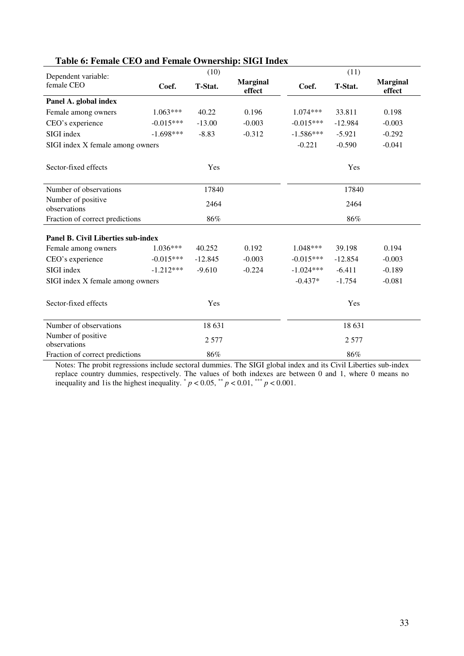| Dependent variable:                |             | (10)      |                           | (11)        |           |                           |  |
|------------------------------------|-------------|-----------|---------------------------|-------------|-----------|---------------------------|--|
| female CEO                         | Coef.       | T-Stat.   | <b>Marginal</b><br>effect | Coef.       | T-Stat.   | <b>Marginal</b><br>effect |  |
| Panel A. global index              |             |           |                           |             |           |                           |  |
| Female among owners                | $1.063***$  | 40.22     | 0.196                     | $1.074***$  | 33.811    | 0.198                     |  |
| CEO's experience                   | $-0.015***$ | $-13.00$  | $-0.003$                  | $-0.015***$ | $-12.984$ | $-0.003$                  |  |
| SIGI index                         | $-1.698***$ | $-8.83$   | $-0.312$                  | $-1.586***$ | $-5.921$  | $-0.292$                  |  |
| SIGI index X female among owners   |             |           |                           | $-0.221$    | $-0.590$  | $-0.041$                  |  |
| Sector-fixed effects               | Yes         |           |                           | Yes         |           |                           |  |
| Number of observations             |             | 17840     |                           | 17840       |           |                           |  |
| Number of positive<br>observations |             | 2464      |                           | 2464        |           |                           |  |
| Fraction of correct predictions    |             | 86%       |                           |             | 86%       |                           |  |
| Panel B. Civil Liberties sub-index |             |           |                           |             |           |                           |  |
| Female among owners                | $1.036***$  | 40.252    | 0.192                     | $1.048***$  | 39.198    | 0.194                     |  |
| CEO's experience                   | $-0.015***$ | $-12.845$ | $-0.003$                  | $-0.015***$ | $-12.854$ | $-0.003$                  |  |
| SIGI index                         | $-1.212***$ | $-9.610$  | $-0.224$                  | $-1.024***$ | $-6.411$  | $-0.189$                  |  |
| SIGI index X female among owners   |             |           |                           | $-0.437*$   | $-1.754$  | $-0.081$                  |  |
| Sector-fixed effects               | Yes         |           |                           | Yes         |           |                           |  |
| Number of observations             | 18 631      |           |                           | 18 631      |           |                           |  |
| Number of positive<br>observations | 2 5 7 7     |           |                           | 2 5 7 7     |           |                           |  |
| Fraction of correct predictions    |             | 86%       |                           | 86%         |           |                           |  |

#### **Table 6: Female CEO and Female Ownership: SIGI Index**

Notes: The probit regressions include sectoral dummies. The SIGI global index and its Civil Liberties sub-index Notes: replace country dummies, respectively. The values of both indexes are between 0 and 1, where 0 means no inequality and 1 is the highest inequality.  $p < 0.05$ ,  $p < 0.01$ ,  $p < 0.001$ .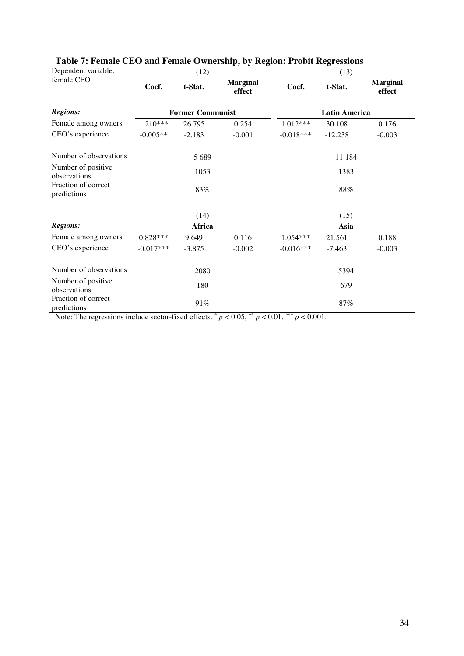| Dependent variable:                |                         | (12)     |                           | rable $\alpha$ . Follar CDO and Female O whereing, by Technic From Technical<br>(13) |           |                           |  |  |
|------------------------------------|-------------------------|----------|---------------------------|--------------------------------------------------------------------------------------|-----------|---------------------------|--|--|
| female CEO                         | Coef.                   | t-Stat.  | <b>Marginal</b><br>effect | Coef.                                                                                | t-Stat.   | <b>Marginal</b><br>effect |  |  |
| <b>Regions:</b>                    | <b>Former Communist</b> |          |                           | <b>Latin America</b>                                                                 |           |                           |  |  |
| Female among owners                | $1.210***$              | 26.795   | 0.254                     | $1.012***$                                                                           | 30.108    | 0.176                     |  |  |
| CEO's experience                   | $-0.005**$              | $-2.183$ | $-0.001$                  | $-0.018***$                                                                          | $-12.238$ | $-0.003$                  |  |  |
| Number of observations             |                         | 5 6 8 9  |                           | 11 184                                                                               |           |                           |  |  |
| Number of positive<br>observations |                         | 1053     |                           |                                                                                      | 1383      |                           |  |  |
| Fraction of correct<br>predictions |                         | 83%      |                           |                                                                                      | 88%       |                           |  |  |
|                                    |                         | (14)     |                           | (15)                                                                                 |           |                           |  |  |
| <b>Regions:</b>                    |                         | Africa   |                           | Asia                                                                                 |           |                           |  |  |
| Female among owners                | $0.828***$              | 9.649    | 0.116                     | $1.054***$                                                                           | 21.561    | 0.188                     |  |  |
| CEO's experience                   | $-0.017***$             | $-3.875$ | $-0.002$                  | $-0.016***$                                                                          | $-7.463$  | $-0.003$                  |  |  |
| Number of observations             |                         | 2080     |                           | 5394                                                                                 |           |                           |  |  |
| Number of positive<br>observations |                         | 180      |                           |                                                                                      | 679       |                           |  |  |
| Fraction of correct<br>predictions |                         | 91%      |                           | 87%                                                                                  |           |                           |  |  |

# **Table 7: Female CEO and Female Ownership, by Region: Probit Regressions**

Note: The regressions include sector-fixed effects.  $p < 0.05$ ,  $p < 0.01$ ,  $p < 0.001$ .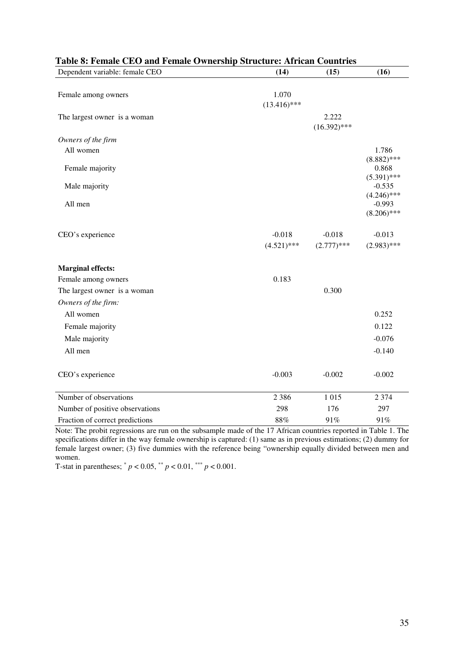| Table 8: Female CEO and Female Ownership Structure: African Countries |                         |                         |                                         |
|-----------------------------------------------------------------------|-------------------------|-------------------------|-----------------------------------------|
| Dependent variable: female CEO                                        | (14)                    | (15)                    | (16)                                    |
| Female among owners                                                   | 1.070<br>$(13.416)$ *** |                         |                                         |
| The largest owner is a woman                                          |                         | 2.222<br>$(16.392)$ *** |                                         |
| Owners of the firm                                                    |                         |                         |                                         |
| All women                                                             |                         |                         | 1.786                                   |
| Female majority                                                       |                         |                         | $(8.882)$ ***<br>0.868<br>$(5.391)$ *** |
| Male majority                                                         |                         |                         | $-0.535$<br>$(4.246)$ ***               |
| All men                                                               |                         |                         | $-0.993$<br>$(8.206)$ ***               |
| CEO's experience                                                      | $-0.018$                | $-0.018$                | $-0.013$                                |
|                                                                       | $(4.521)$ ***           | $(2.777)****$           | $(2.983)$ ***                           |
| <b>Marginal effects:</b>                                              |                         |                         |                                         |
| Female among owners                                                   | 0.183                   |                         |                                         |
| The largest owner is a woman                                          |                         | 0.300                   |                                         |
| Owners of the firm:                                                   |                         |                         |                                         |
| All women                                                             |                         |                         | 0.252                                   |
| Female majority                                                       |                         |                         | 0.122                                   |
| Male majority                                                         |                         |                         | $-0.076$                                |
| All men                                                               |                         |                         | $-0.140$                                |
| CEO's experience                                                      | $-0.003$                | $-0.002$                | $-0.002$                                |
| Number of observations                                                | 2 3 8 6                 | 1015                    | 2 3 7 4                                 |
| Number of positive observations                                       | 298                     | 176                     | 297                                     |
| Fraction of correct predictions                                       | 88%                     | 91%                     | 91%                                     |

Note: The probit regressions are run on the subsample made of the 17 African countries reported in Table 1. The specifications differ in the way female ownership is captured: (1) same as in previous estimations; (2) dummy for female largest owner; (3) five dummies with the reference being "ownership equally divided between men and women.

T-stat in parentheses;  $^* p < 0.05$ ,  $^* p < 0.01$ ,  $^{**} p < 0.001$ .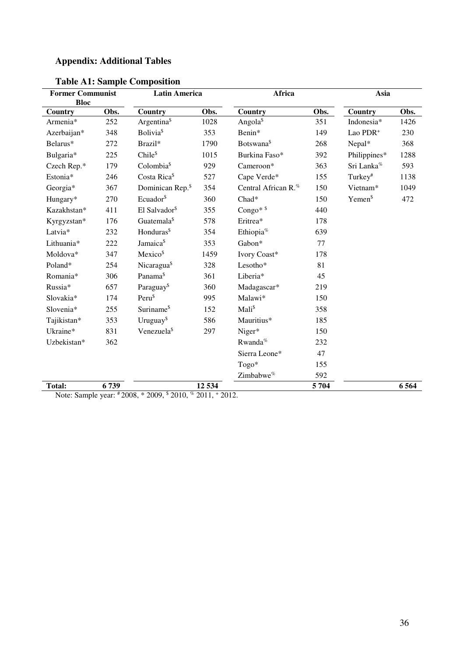# **Appendix: Additional Tables**

| <b>Former Communist</b><br><b>Bloc</b> |      | <b>Latin America</b>                                    |         | Africa                          |      | Asia                   |         |  |
|----------------------------------------|------|---------------------------------------------------------|---------|---------------------------------|------|------------------------|---------|--|
| Country                                | Obs. | <b>Country</b>                                          | Obs.    | Country                         | Obs. | Country                | Obs.    |  |
| Armenia*                               | 252  | Argentina <sup>§</sup>                                  | 1028    | Angola <sup>§</sup>             | 351  | Indonesia*             | 1426    |  |
| Azerbaijan*                            | 348  | <b>Bolivia</b> <sup>§</sup>                             | 353     | Benin*                          | 149  | Lao PDR <sup>+</sup>   | 230     |  |
| Belarus*                               | 272  | Brazil*                                                 | 1790    | Botswana <sup>\$</sup>          | 268  | Nepal*                 | 368     |  |
| Bulgaria*                              | 225  | Chile <sup>\$</sup>                                     | 1015    | Burkina Faso*                   | 392  | Philippines*           | 1288    |  |
| Czech Rep.*                            | 179  | Colombia <sup>\$</sup>                                  | 929     | Cameroon*                       | 363  | Sri Lanka <sup>%</sup> | 593     |  |
| Estonia*                               | 246  | Costa Rica <sup>§</sup>                                 | 527     | Cape Verde*                     | 155  | Turkey <sup>#</sup>    | 1138    |  |
| Georgia*                               | 367  | Dominican Rep. <sup>\$</sup>                            | 354     | Central African R. <sup>%</sup> | 150  | Vietnam*               | 1049    |  |
| Hungary*                               | 270  | Ecuador <sup>\$</sup>                                   | 360     | $Chad*$                         | 150  | Yemen <sup>§</sup>     | 472     |  |
| Kazakhstan*                            | 411  | El Salvador <sup>\$</sup>                               | 355     | Congo* \$                       | 440  |                        |         |  |
| Kyrgyzstan*                            | 176  | Guatemala <sup>§</sup>                                  | 578     | Eritrea*                        | 178  |                        |         |  |
| Latvia*                                | 232  | Honduras <sup>\$</sup>                                  | 354     | Ethiopia <sup>%</sup>           | 639  |                        |         |  |
| Lithuania*                             | 222  | Jamaica <sup>§</sup>                                    | 353     | Gabon*                          | 77   |                        |         |  |
| Moldova*                               | 347  | Mexico <sup>\$</sup>                                    | 1459    | Ivory Coast*                    | 178  |                        |         |  |
| Poland*                                | 254  | Nicaragua <sup>\$</sup>                                 | 328     | Lesotho*                        | 81   |                        |         |  |
| Romania*                               | 306  | Panama <sup>§</sup>                                     | 361     | Liberia*                        | 45   |                        |         |  |
| Russia*                                | 657  | Paraguay <sup>\$</sup>                                  | 360     | Madagascar*                     | 219  |                        |         |  |
| Slovakia*                              | 174  | Peru <sup>\$</sup>                                      | 995     | Malawi*                         | 150  |                        |         |  |
| Slovenia*                              | 255  | Suriname <sup>\$</sup>                                  | 152     | Mali <sup>\$</sup>              | 358  |                        |         |  |
| Tajikistan*                            | 353  | Uruguay <sup>\$</sup>                                   | 586     | Mauritius*                      | 185  |                        |         |  |
| Ukraine*                               | 831  | Venezuela <sup>§</sup>                                  | 297     | Niger*                          | 150  |                        |         |  |
| Uzbekistan*                            | 362  |                                                         |         | Rwanda <sup>%</sup>             | 232  |                        |         |  |
|                                        |      |                                                         |         | Sierra Leone*                   | 47   |                        |         |  |
|                                        |      |                                                         |         | Togo*                           | 155  |                        |         |  |
|                                        |      |                                                         |         | Zimbabwe <sup>%</sup>           | 592  |                        |         |  |
| <b>Total:</b>                          | 6739 | Note: Sample year: #2008, *2009, \$2010, % 2011, +2012. | 12 5 34 |                                 | 5704 |                        | 6 5 6 4 |  |

**Table A1: Sample Composition**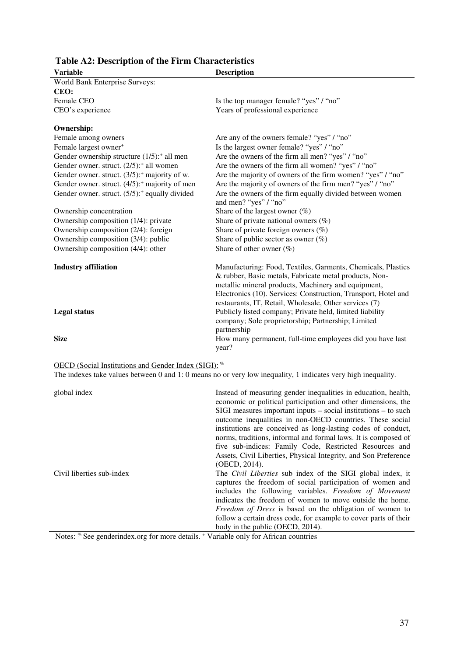| <b>Variable</b>                                             | <b>Description</b>                                                                                                                                                                                                                                                                                        |
|-------------------------------------------------------------|-----------------------------------------------------------------------------------------------------------------------------------------------------------------------------------------------------------------------------------------------------------------------------------------------------------|
| <b>World Bank Enterprise Surveys:</b>                       |                                                                                                                                                                                                                                                                                                           |
| CEO:                                                        |                                                                                                                                                                                                                                                                                                           |
| Female CEO                                                  | Is the top manager female? "yes" / "no"                                                                                                                                                                                                                                                                   |
| CEO's experience                                            | Years of professional experience                                                                                                                                                                                                                                                                          |
| <b>Ownership:</b>                                           |                                                                                                                                                                                                                                                                                                           |
| Female among owners                                         | Are any of the owners female? "yes" / "no"                                                                                                                                                                                                                                                                |
| Female largest owner <sup>+</sup>                           | Is the largest owner female? "yes" / "no"                                                                                                                                                                                                                                                                 |
| Gender ownership structure $(1/5)$ : all men                | Are the owners of the firm all men? "yes" / "no"                                                                                                                                                                                                                                                          |
| Gender owner. struct. (2/5): <sup>+</sup> all women         | Are the owners of the firm all women? "yes" / "no"                                                                                                                                                                                                                                                        |
| Gender owner. struct. (3/5): <sup>+</sup> majority of w.    | Are the majority of owners of the firm women? "yes" / "no"                                                                                                                                                                                                                                                |
| Gender owner. struct. (4/5): <sup>+</sup> majority of men   | Are the majority of owners of the firm men? "yes" / "no"                                                                                                                                                                                                                                                  |
| Gender owner. struct. (5/5): <sup>+</sup> equally divided   | Are the owners of the firm equally divided between women<br>and men? "yes" / "no"                                                                                                                                                                                                                         |
| Ownership concentration                                     | Share of the largest owner $(\%)$                                                                                                                                                                                                                                                                         |
| Ownership composition (1/4): private                        | Share of private national owners $(\%)$                                                                                                                                                                                                                                                                   |
| Ownership composition (2/4): foreign                        | Share of private foreign owners (%)                                                                                                                                                                                                                                                                       |
| Ownership composition (3/4): public                         | Share of public sector as owner $(\%)$                                                                                                                                                                                                                                                                    |
| Ownership composition (4/4): other                          | Share of other owner $(\%)$                                                                                                                                                                                                                                                                               |
| <b>Industry affiliation</b>                                 | Manufacturing: Food, Textiles, Garments, Chemicals, Plastics<br>& rubber, Basic metals, Fabricate metal products, Non-<br>metallic mineral products, Machinery and equipment,<br>Electronics (10). Services: Construction, Transport, Hotel and<br>restaurants, IT, Retail, Wholesale, Other services (7) |
| <b>Legal status</b>                                         | Publicly listed company; Private held, limited liability<br>company; Sole proprietorship; Partnership; Limited<br>partnership                                                                                                                                                                             |
| <b>Size</b>                                                 | How many permanent, full-time employees did you have last<br>year?                                                                                                                                                                                                                                        |
| <b>OECD</b> (Social Institutions and Gender Index (SIGI): % |                                                                                                                                                                                                                                                                                                           |

# **Table A2: Description of the Firm Characteristics**

The indexes take values between 0 and 1: 0 means no or very low inequality, 1 indicates very high inequality.

| Civil liberties sub-index<br>The <i>Civil Liberties</i> sub index of the SIGI global index, it<br>includes the following variables. Freedom of Movement<br>indicates the freedom of women to move outside the home.<br>Freedom of Dress is based on the obligation of women to | global index | Instead of measuring gender inequalities in education, health,<br>economic or political participation and other dimensions, the<br>$SIGI$ measures important inputs – social institutions – to such<br>outcome inequalities in non-OECD countries. These social<br>institutions are conceived as long-lasting codes of conduct,<br>norms, traditions, informal and formal laws. It is composed of<br>five sub-indices: Family Code, Restricted Resources and<br>Assets, Civil Liberties, Physical Integrity, and Son Preference<br>(OECD, 2014). |
|--------------------------------------------------------------------------------------------------------------------------------------------------------------------------------------------------------------------------------------------------------------------------------|--------------|--------------------------------------------------------------------------------------------------------------------------------------------------------------------------------------------------------------------------------------------------------------------------------------------------------------------------------------------------------------------------------------------------------------------------------------------------------------------------------------------------------------------------------------------------|
| body in the public (OECD, 2014).                                                                                                                                                                                                                                               |              | captures the freedom of social participation of women and<br>follow a certain dress code, for example to cover parts of their                                                                                                                                                                                                                                                                                                                                                                                                                    |

Notes: % See genderindex.org for more details. + Variable only for African countries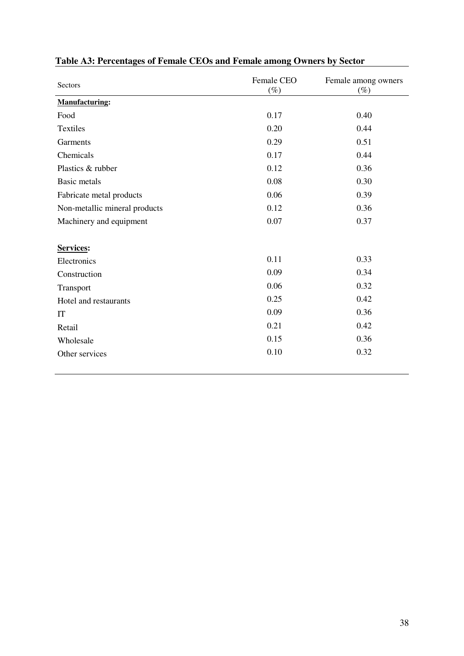| Sectors                       | Female CEO<br>$(\%)$ | Female among owners<br>$(\%)$ |  |
|-------------------------------|----------------------|-------------------------------|--|
| <b>Manufacturing:</b>         |                      |                               |  |
| Food                          | 0.17                 | 0.40                          |  |
| <b>Textiles</b>               | 0.20                 | 0.44                          |  |
| Garments                      | 0.29                 | 0.51                          |  |
| Chemicals                     | 0.17                 | 0.44                          |  |
| Plastics & rubber             | 0.12                 | 0.36                          |  |
| <b>Basic metals</b>           | 0.08                 | 0.30                          |  |
| Fabricate metal products      | 0.06                 | 0.39                          |  |
| Non-metallic mineral products | 0.12                 | 0.36                          |  |
| Machinery and equipment       | 0.07                 | 0.37                          |  |
|                               |                      |                               |  |
| Services:                     |                      |                               |  |
| Electronics                   | 0.11                 | 0.33                          |  |
| Construction                  | 0.09                 | 0.34                          |  |
| Transport                     | 0.06                 | 0.32                          |  |
| Hotel and restaurants         | 0.25                 | 0.42                          |  |
| IT                            | 0.09                 | 0.36                          |  |
| Retail                        | 0.21                 | 0.42                          |  |
| Wholesale                     | 0.15                 | 0.36                          |  |
| Other services                | 0.10                 | 0.32                          |  |

# **Table A3: Percentages of Female CEOs and Female among Owners by Sector**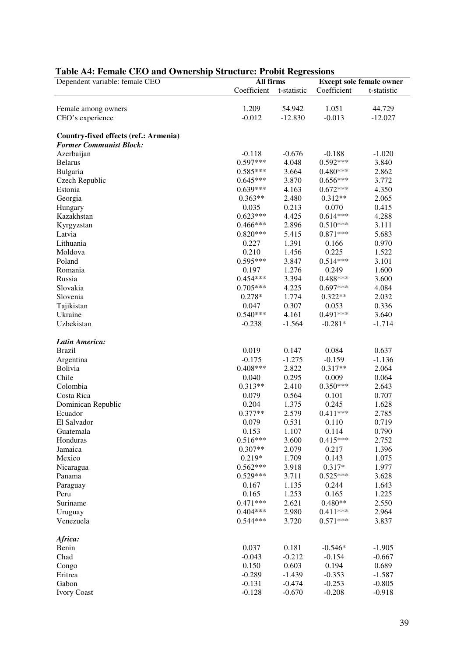| Dependent variable: female CEO        | All firms   |             | <b>Except sole female owner</b> |             |  |
|---------------------------------------|-------------|-------------|---------------------------------|-------------|--|
|                                       | Coefficient | t-statistic | Coefficient                     | t-statistic |  |
|                                       |             |             |                                 |             |  |
| Female among owners                   | 1.209       | 54.942      | 1.051                           | 44.729      |  |
| CEO's experience                      | $-0.012$    | $-12.830$   | $-0.013$                        | $-12.027$   |  |
|                                       |             |             |                                 |             |  |
| Country-fixed effects (ref.: Armenia) |             |             |                                 |             |  |
| <b>Former Communist Block:</b>        |             |             |                                 |             |  |
| Azerbaijan                            | $-0.118$    | $-0.676$    | $-0.188$                        | $-1.020$    |  |
| <b>Belarus</b>                        | $0.597***$  | 4.048       | $0.592***$                      | 3.840       |  |
| Bulgaria                              | $0.585***$  | 3.664       | $0.480***$                      | 2.862       |  |
| Czech Republic                        | $0.645***$  | 3.870       | $0.656***$                      | 3.772       |  |
| Estonia                               | $0.639***$  | 4.163       | $0.672***$                      | 4.350       |  |
| Georgia                               | $0.363**$   | 2.480       | $0.312**$                       | 2.065       |  |
| Hungary                               | 0.035       | 0.213       | 0.070                           | 0.415       |  |
| Kazakhstan                            | $0.623***$  | 4.425       | $0.614***$                      | 4.288       |  |
| Kyrgyzstan                            | $0.466***$  | 2.896       | $0.510***$                      | 3.111       |  |
| Latvia                                | $0.820***$  | 5.415       | $0.871***$                      | 5.683       |  |
| Lithuania                             | 0.227       | 1.391       | 0.166                           | 0.970       |  |
| Moldova                               | 0.210       | 1.456       | 0.225                           | 1.522       |  |
| Poland                                | 0.595***    | 3.847       | $0.514***$                      | 3.101       |  |
| Romania                               | 0.197       | 1.276       | 0.249                           | 1.600       |  |
| Russia                                | $0.454***$  | 3.394       | $0.488***$                      | 3.600       |  |
| Slovakia                              | $0.705***$  | 4.225       | $0.697***$                      | 4.084       |  |
| Slovenia                              | $0.278*$    | 1.774       | $0.322**$                       | 2.032       |  |
| Tajikistan                            | 0.047       | 0.307       | 0.053                           | 0.336       |  |
| Ukraine                               | $0.540***$  | 4.161       | $0.491***$                      | 3.640       |  |
| Uzbekistan                            | $-0.238$    | $-1.564$    | $-0.281*$                       | $-1.714$    |  |
|                                       |             |             |                                 |             |  |
| Latin America:                        |             |             |                                 |             |  |
| <b>Brazil</b>                         | 0.019       | 0.147       | 0.084                           | 0.637       |  |
| Argentina                             | $-0.175$    | $-1.275$    | $-0.159$                        | $-1.136$    |  |
| Bolivia                               | $0.408***$  | 2.822       | $0.317**$                       | 2.064       |  |
| Chile                                 | 0.040       | 0.295       | 0.009                           | 0.064       |  |
| Colombia                              | $0.313**$   | 2.410       | $0.350***$                      | 2.643       |  |
| Costa Rica                            | 0.079       | 0.564       | 0.101                           | 0.707       |  |
| Dominican Republic                    | 0.204       | 1.375       | 0.245                           | 1.628       |  |
| Ecuador                               | $0.377**$   | 2.579       | $0.411***$                      | 2.785       |  |
| El Salvador                           | 0.079       | 0.531       | 0.110                           | 0.719       |  |
| Guatemala                             | 0.153       | 1.107       | 0.114                           | 0.790       |  |
| Honduras                              | $0.516***$  | 3.600       | $0.415***$                      | 2.752       |  |
| Jamaica                               | $0.307**$   | 2.079       | 0.217                           | 1.396       |  |
| Mexico                                | $0.219*$    | 1.709       | 0.143                           | 1.075       |  |
| Nicaragua                             | $0.562***$  | 3.918       | $0.317*$                        | 1.977       |  |
| Panama                                | $0.529***$  | 3.711       | $0.525***$                      | 3.628       |  |
| Paraguay                              | 0.167       | 1.135       | 0.244                           | 1.643       |  |
| Peru                                  | 0.165       | 1.253       | 0.165                           | 1.225       |  |
| Suriname                              | $0.471***$  | 2.621       | $0.480**$                       | 2.550       |  |
| Uruguay                               | $0.404***$  | 2.980       | $0.411***$                      | 2.964       |  |
| Venezuela                             | $0.544***$  | 3.720       | $0.571***$                      | 3.837       |  |
| Africa:                               |             |             |                                 |             |  |
| Benin                                 | 0.037       | 0.181       | $-0.546*$                       | $-1.905$    |  |
| Chad                                  | $-0.043$    | $-0.212$    | $-0.154$                        | $-0.667$    |  |
| Congo                                 | 0.150       | 0.603       | 0.194                           | 0.689       |  |
| Eritrea                               | $-0.289$    | $-1.439$    | $-0.353$                        | $-1.587$    |  |
| Gabon                                 | $-0.131$    | $-0.474$    | $-0.253$                        | $-0.805$    |  |
| <b>Ivory Coast</b>                    | $-0.128$    | $-0.670$    | $-0.208$                        | $-0.918$    |  |

### **Table A4: Female CEO and Ownership Structure: Probit Regressions**